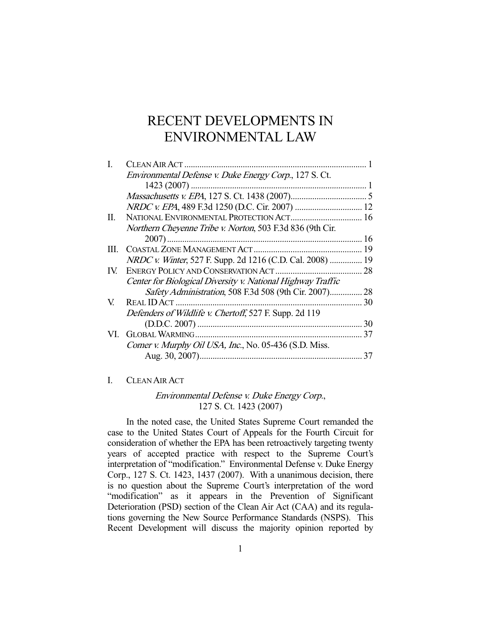# RECENT DEVELOPMENTS IN ENVIRONMENTAL LAW

|      | Environmental Defense v. Duke Energy Corp., 127 S. Ct.            |    |
|------|-------------------------------------------------------------------|----|
|      |                                                                   |    |
|      |                                                                   |    |
|      |                                                                   |    |
| П.   |                                                                   |    |
|      | Northern Cheyenne Tribe v. Norton, 503 F.3d 836 (9th Cir.         |    |
|      |                                                                   |    |
| III. |                                                                   |    |
|      | <i>NRDC v. Winter</i> , 527 F. Supp. 2d 1216 (C.D. Cal. 2008)  19 |    |
| IV.  |                                                                   | 28 |
|      | Center for Biological Diversity v. National Highway Traffic       |    |
|      | Safety Administration, 508 F.3d 508 (9th Cir. 2007)               | 28 |
| V.   | REAL ID ACT                                                       | 30 |
|      | Defenders of Wildlife v. Chertoff, 527 F. Supp. 2d 119            |    |
|      |                                                                   | 30 |
|      |                                                                   | 37 |
|      | Comer v. Murphy Oil USA, Inc., No. 05-436 (S.D. Miss.             |    |
|      |                                                                   | 37 |
|      |                                                                   |    |

## I. CLEAN AIR ACT

# Environmental Defense v. Duke Energy Corp., 127 S. Ct. 1423 (2007)

 In the noted case, the United States Supreme Court remanded the case to the United States Court of Appeals for the Fourth Circuit for consideration of whether the EPA has been retroactively targeting twenty years of accepted practice with respect to the Supreme Court's interpretation of "modification." Environmental Defense v. Duke Energy Corp., 127 S. Ct. 1423, 1437 (2007). With a unanimous decision, there is no question about the Supreme Court's interpretation of the word "modification" as it appears in the Prevention of Significant Deterioration (PSD) section of the Clean Air Act (CAA) and its regulations governing the New Source Performance Standards (NSPS). This Recent Development will discuss the majority opinion reported by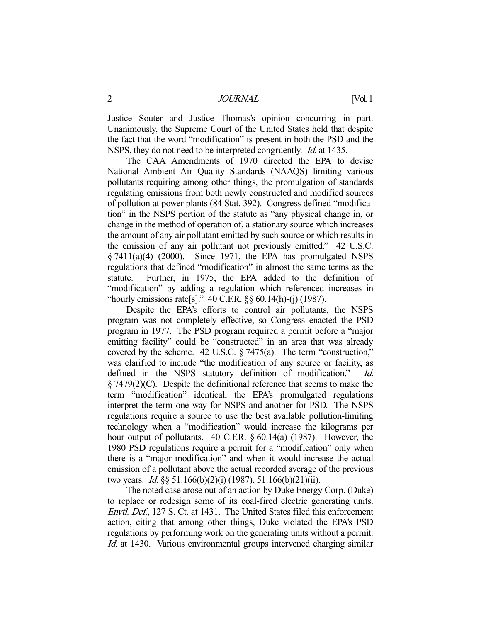Justice Souter and Justice Thomas's opinion concurring in part. Unanimously, the Supreme Court of the United States held that despite the fact that the word "modification" is present in both the PSD and the NSPS, they do not need to be interpreted congruently. *Id.* at 1435.

 The CAA Amendments of 1970 directed the EPA to devise National Ambient Air Quality Standards (NAAQS) limiting various pollutants requiring among other things, the promulgation of standards regulating emissions from both newly constructed and modified sources of pollution at power plants (84 Stat. 392). Congress defined "modification" in the NSPS portion of the statute as "any physical change in, or change in the method of operation of, a stationary source which increases the amount of any air pollutant emitted by such source or which results in the emission of any air pollutant not previously emitted." 42 U.S.C.  $\S$  7411(a)(4) (2000). Since 1971, the EPA has promulgated NSPS regulations that defined "modification" in almost the same terms as the statute. Further, in 1975, the EPA added to the definition of "modification" by adding a regulation which referenced increases in "hourly emissions rate[s]."  $40$  C.F.R.  $\S$ §  $60.14(h)$ -(j) (1987).

 Despite the EPA's efforts to control air pollutants, the NSPS program was not completely effective, so Congress enacted the PSD program in 1977. The PSD program required a permit before a "major emitting facility" could be "constructed" in an area that was already covered by the scheme. 42 U.S.C. § 7475(a). The term "construction," was clarified to include "the modification of any source or facility, as defined in the NSPS statutory definition of modification." Id. § 7479(2)(C). Despite the definitional reference that seems to make the term "modification" identical, the EPA's promulgated regulations interpret the term one way for NSPS and another for PSD. The NSPS regulations require a source to use the best available pollution-limiting technology when a "modification" would increase the kilograms per hour output of pollutants. 40 C.F.R. § 60.14(a) (1987). However, the 1980 PSD regulations require a permit for a "modification" only when there is a "major modification" and when it would increase the actual emission of a pollutant above the actual recorded average of the previous two years. *Id.* §§ 51.166(b)(2)(i) (1987), 51.166(b)(21)(ii).

 The noted case arose out of an action by Duke Energy Corp. (Duke) to replace or redesign some of its coal-fired electric generating units. Envtl. Def., 127 S. Ct. at 1431. The United States filed this enforcement action, citing that among other things, Duke violated the EPA's PSD regulations by performing work on the generating units without a permit. Id. at 1430. Various environmental groups intervened charging similar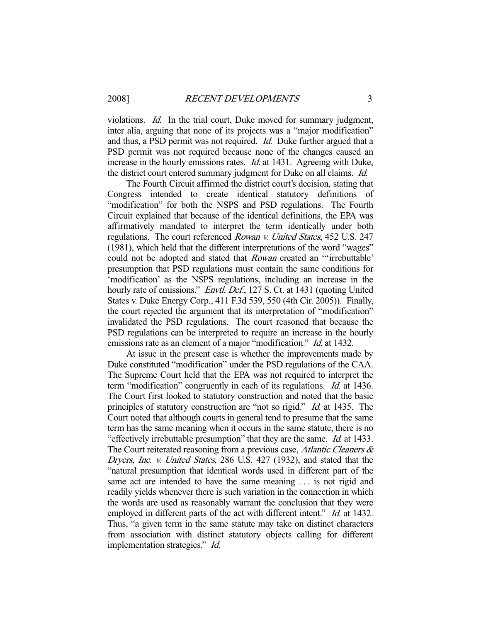violations. Id. In the trial court, Duke moved for summary judgment, inter alia, arguing that none of its projects was a "major modification" and thus, a PSD permit was not required. Id. Duke further argued that a PSD permit was not required because none of the changes caused an increase in the hourly emissions rates. *Id.* at 1431. Agreeing with Duke, the district court entered summary judgment for Duke on all claims. Id.

 The Fourth Circuit affirmed the district court's decision, stating that Congress intended to create identical statutory definitions of "modification" for both the NSPS and PSD regulations. The Fourth Circuit explained that because of the identical definitions, the EPA was affirmatively mandated to interpret the term identically under both regulations. The court referenced Rowan v. United States, 452 U.S. 247 (1981), which held that the different interpretations of the word "wages" could not be adopted and stated that Rowan created an "'irrebuttable' presumption that PSD regulations must contain the same conditions for 'modification' as the NSPS regulations, including an increase in the hourly rate of emissions." *Envtl. Def.*, 127 S. Ct. at 1431 (quoting United States v. Duke Energy Corp., 411 F.3d 539, 550 (4th Cir. 2005)). Finally, the court rejected the argument that its interpretation of "modification" invalidated the PSD regulations. The court reasoned that because the PSD regulations can be interpreted to require an increase in the hourly emissions rate as an element of a major "modification." *Id.* at 1432.

 At issue in the present case is whether the improvements made by Duke constituted "modification" under the PSD regulations of the CAA. The Supreme Court held that the EPA was not required to interpret the term "modification" congruently in each of its regulations. Id. at 1436. The Court first looked to statutory construction and noted that the basic principles of statutory construction are "not so rigid." Id. at 1435. The Court noted that although courts in general tend to presume that the same term has the same meaning when it occurs in the same statute, there is no "effectively irrebuttable presumption" that they are the same. Id. at 1433. The Court reiterated reasoning from a previous case, Atlantic Cleaners  $\&$ Dryers, Inc. v. United States, 286 U.S. 427 (1932), and stated that the "natural presumption that identical words used in different part of the same act are intended to have the same meaning . . . is not rigid and readily yields whenever there is such variation in the connection in which the words are used as reasonably warrant the conclusion that they were employed in different parts of the act with different intent." *Id.* at 1432. Thus, "a given term in the same statute may take on distinct characters from association with distinct statutory objects calling for different implementation strategies." Id.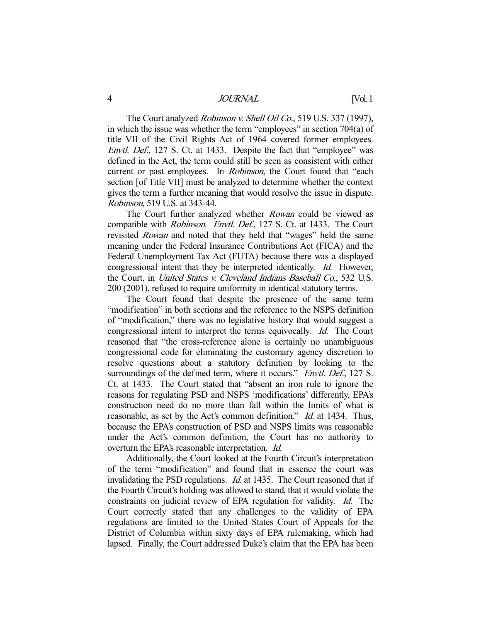The Court analyzed *Robinson v. Shell Oil Co.*, 519 U.S. 337 (1997), in which the issue was whether the term "employees" in section 704(a) of title VII of the Civil Rights Act of 1964 covered former employees. Envtl. Def., 127 S. Ct. at 1433. Despite the fact that "employee" was defined in the Act, the term could still be seen as consistent with either current or past employees. In *Robinson*, the Court found that "each section [of Title VII] must be analyzed to determine whether the context gives the term a further meaning that would resolve the issue in dispute. Robinson, 519 U.S. at 343-44.

The Court further analyzed whether *Rowan* could be viewed as compatible with Robinson. Envtl. Def., 127 S. Ct. at 1433. The Court revisited *Rowan* and noted that they held that "wages" held the same meaning under the Federal Insurance Contributions Act (FICA) and the Federal Unemployment Tax Act (FUTA) because there was a displayed congressional intent that they be interpreted identically. Id. However, the Court, in United States v. Cleveland Indians Baseball Co., 532 U.S. 200 (2001), refused to require uniformity in identical statutory terms.

 The Court found that despite the presence of the same term "modification" in both sections and the reference to the NSPS definition of "modification," there was no legislative history that would suggest a congressional intent to interpret the terms equivocally. Id. The Court reasoned that "the cross-reference alone is certainly no unambiguous congressional code for eliminating the customary agency discretion to resolve questions about a statutory definition by looking to the surroundings of the defined term, where it occurs." *Envtl. Def.*, 127 S. Ct. at 1433. The Court stated that "absent an iron rule to ignore the reasons for regulating PSD and NSPS 'modifications' differently, EPA's construction need do no more than fall within the limits of what is reasonable, as set by the Act's common definition." *Id.* at 1434. Thus, because the EPA's construction of PSD and NSPS limits was reasonable under the Act's common definition, the Court has no authority to overturn the EPA's reasonable interpretation. Id.

 Additionally, the Court looked at the Fourth Circuit's interpretation of the term "modification" and found that in essence the court was invalidating the PSD regulations. *Id.* at 1435. The Court reasoned that if the Fourth Circuit's holding was allowed to stand, that it would violate the constraints on judicial review of EPA regulation for validity. Id. The Court correctly stated that any challenges to the validity of EPA regulations are limited to the United States Court of Appeals for the District of Columbia within sixty days of EPA rulemaking, which had lapsed. Finally, the Court addressed Duke's claim that the EPA has been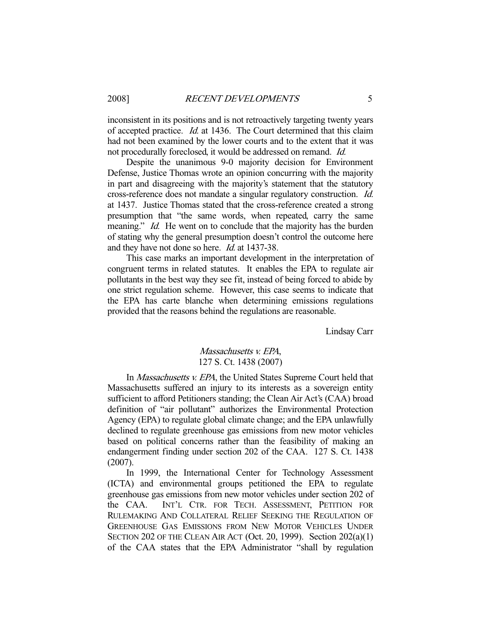inconsistent in its positions and is not retroactively targeting twenty years of accepted practice. Id. at 1436. The Court determined that this claim had not been examined by the lower courts and to the extent that it was not procedurally foreclosed, it would be addressed on remand. Id.

 Despite the unanimous 9-0 majority decision for Environment Defense, Justice Thomas wrote an opinion concurring with the majority in part and disagreeing with the majority's statement that the statutory cross-reference does not mandate a singular regulatory construction. Id. at 1437. Justice Thomas stated that the cross-reference created a strong presumption that "the same words, when repeated, carry the same meaning." *Id.* He went on to conclude that the majority has the burden of stating why the general presumption doesn't control the outcome here and they have not done so here. Id. at 1437-38.

 This case marks an important development in the interpretation of congruent terms in related statutes. It enables the EPA to regulate air pollutants in the best way they see fit, instead of being forced to abide by one strict regulation scheme. However, this case seems to indicate that the EPA has carte blanche when determining emissions regulations provided that the reasons behind the regulations are reasonable.

Lindsay Carr

# Massachusetts v. EPA, 127 S. Ct. 1438 (2007)

In *Massachusetts v. EPA*, the United States Supreme Court held that Massachusetts suffered an injury to its interests as a sovereign entity sufficient to afford Petitioners standing; the Clean Air Act's (CAA) broad definition of "air pollutant" authorizes the Environmental Protection Agency (EPA) to regulate global climate change; and the EPA unlawfully declined to regulate greenhouse gas emissions from new motor vehicles based on political concerns rather than the feasibility of making an endangerment finding under section 202 of the CAA. 127 S. Ct. 1438 (2007).

 In 1999, the International Center for Technology Assessment (ICTA) and environmental groups petitioned the EPA to regulate greenhouse gas emissions from new motor vehicles under section 202 of the CAA. INT'L CTR. FOR TECH. ASSESSMENT, PETITION FOR RULEMAKING AND COLLATERAL RELIEF SEEKING THE REGULATION OF GREENHOUSE GAS EMISSIONS FROM NEW MOTOR VEHICLES UNDER SECTION 202 OF THE CLEAN AIR ACT (Oct. 20, 1999). Section 202(a)(1) of the CAA states that the EPA Administrator "shall by regulation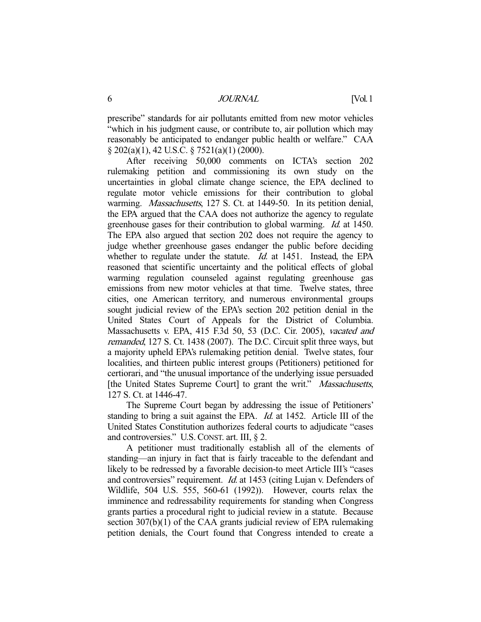prescribe" standards for air pollutants emitted from new motor vehicles "which in his judgment cause, or contribute to, air pollution which may reasonably be anticipated to endanger public health or welfare." CAA § 202(a)(1), 42 U.S.C. § 7521(a)(1) (2000).

 After receiving 50,000 comments on ICTA's section 202 rulemaking petition and commissioning its own study on the uncertainties in global climate change science, the EPA declined to regulate motor vehicle emissions for their contribution to global warming. *Massachusetts*, 127 S. Ct. at 1449-50. In its petition denial, the EPA argued that the CAA does not authorize the agency to regulate greenhouse gases for their contribution to global warming. Id. at 1450. The EPA also argued that section 202 does not require the agency to judge whether greenhouse gases endanger the public before deciding whether to regulate under the statute. *Id.* at 1451. Instead, the EPA reasoned that scientific uncertainty and the political effects of global warming regulation counseled against regulating greenhouse gas emissions from new motor vehicles at that time. Twelve states, three cities, one American territory, and numerous environmental groups sought judicial review of the EPA's section 202 petition denial in the United States Court of Appeals for the District of Columbia. Massachusetts v. EPA, 415 F.3d 50, 53 (D.C. Cir. 2005), vacated and remanded, 127 S. Ct. 1438 (2007). The D.C. Circuit split three ways, but a majority upheld EPA's rulemaking petition denial. Twelve states, four localities, and thirteen public interest groups (Petitioners) petitioned for certiorari, and "the unusual importance of the underlying issue persuaded [the United States Supreme Court] to grant the writ." Massachusetts, 127 S. Ct. at 1446-47.

 The Supreme Court began by addressing the issue of Petitioners' standing to bring a suit against the EPA. *Id.* at 1452. Article III of the United States Constitution authorizes federal courts to adjudicate "cases and controversies." U.S.CONST. art. III, § 2.

 A petitioner must traditionally establish all of the elements of standing—an injury in fact that is fairly traceable to the defendant and likely to be redressed by a favorable decision-to meet Article III's "cases and controversies" requirement. Id. at 1453 (citing Lujan v. Defenders of Wildlife, 504 U.S. 555, 560-61 (1992)). However, courts relax the imminence and redressability requirements for standing when Congress grants parties a procedural right to judicial review in a statute. Because section 307(b)(1) of the CAA grants judicial review of EPA rulemaking petition denials, the Court found that Congress intended to create a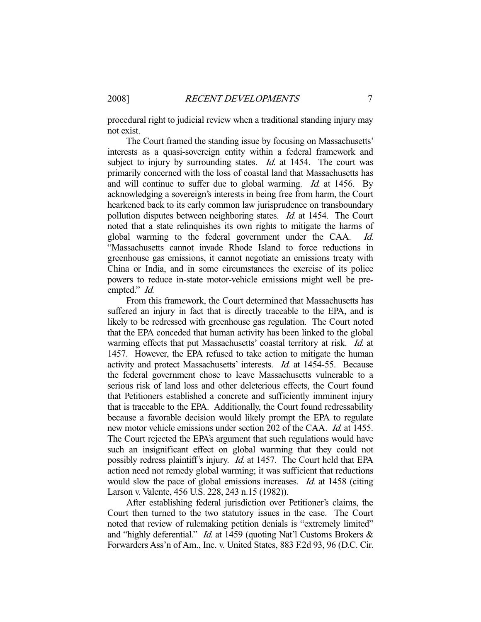procedural right to judicial review when a traditional standing injury may not exist.

 The Court framed the standing issue by focusing on Massachusetts' interests as a quasi-sovereign entity within a federal framework and subject to injury by surrounding states. *Id.* at 1454. The court was primarily concerned with the loss of coastal land that Massachusetts has and will continue to suffer due to global warming. *Id.* at 1456. By acknowledging a sovereign's interests in being free from harm, the Court hearkened back to its early common law jurisprudence on transboundary pollution disputes between neighboring states. *Id.* at 1454. The Court noted that a state relinquishes its own rights to mitigate the harms of global warming to the federal government under the CAA. Id. "Massachusetts cannot invade Rhode Island to force reductions in greenhouse gas emissions, it cannot negotiate an emissions treaty with China or India, and in some circumstances the exercise of its police powers to reduce in-state motor-vehicle emissions might well be preempted." *Id.* 

 From this framework, the Court determined that Massachusetts has suffered an injury in fact that is directly traceable to the EPA, and is likely to be redressed with greenhouse gas regulation. The Court noted that the EPA conceded that human activity has been linked to the global warming effects that put Massachusetts' coastal territory at risk. Id. at 1457. However, the EPA refused to take action to mitigate the human activity and protect Massachusetts' interests. Id. at 1454-55. Because the federal government chose to leave Massachusetts vulnerable to a serious risk of land loss and other deleterious effects, the Court found that Petitioners established a concrete and sufficiently imminent injury that is traceable to the EPA. Additionally, the Court found redressability because a favorable decision would likely prompt the EPA to regulate new motor vehicle emissions under section 202 of the CAA. Id. at 1455. The Court rejected the EPA's argument that such regulations would have such an insignificant effect on global warming that they could not possibly redress plaintiff's injury. Id. at 1457. The Court held that EPA action need not remedy global warming; it was sufficient that reductions would slow the pace of global emissions increases. *Id.* at 1458 (citing Larson v. Valente, 456 U.S. 228, 243 n.15 (1982)).

 After establishing federal jurisdiction over Petitioner's claims, the Court then turned to the two statutory issues in the case. The Court noted that review of rulemaking petition denials is "extremely limited" and "highly deferential." Id. at 1459 (quoting Nat'l Customs Brokers & Forwarders Ass'n of Am., Inc. v. United States, 883 F.2d 93, 96 (D.C. Cir.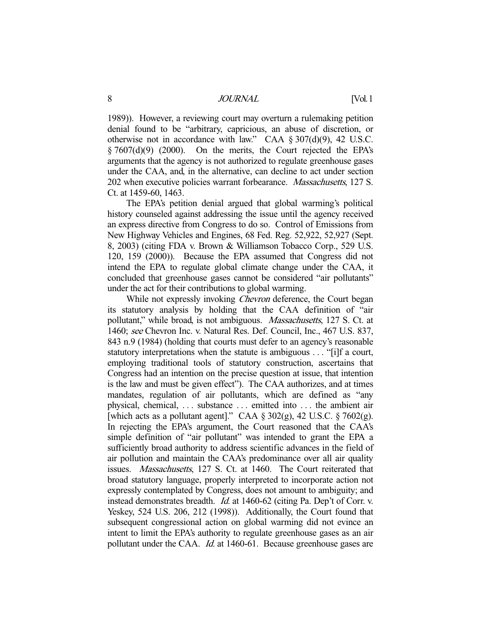8 JOURNAL [Vol. 1

1989)). However, a reviewing court may overturn a rulemaking petition denial found to be "arbitrary, capricious, an abuse of discretion, or otherwise not in accordance with law." CAA § 307(d)(9), 42 U.S.C.  $\S 7607(d)(9)$  (2000). On the merits, the Court rejected the EPA's arguments that the agency is not authorized to regulate greenhouse gases under the CAA, and, in the alternative, can decline to act under section 202 when executive policies warrant forbearance. *Massachusetts*, 127 S. Ct. at 1459-60, 1463.

 The EPA's petition denial argued that global warming's political history counseled against addressing the issue until the agency received an express directive from Congress to do so. Control of Emissions from New Highway Vehicles and Engines, 68 Fed. Reg. 52,922, 52,927 (Sept. 8, 2003) (citing FDA v. Brown & Williamson Tobacco Corp., 529 U.S. 120, 159 (2000)). Because the EPA assumed that Congress did not intend the EPA to regulate global climate change under the CAA, it concluded that greenhouse gases cannot be considered "air pollutants" under the act for their contributions to global warming.

While not expressly invoking *Chevron* deference, the Court began its statutory analysis by holding that the CAA definition of "air pollutant," while broad, is not ambiguous. Massachusetts, 127 S. Ct. at 1460; see Chevron Inc. v. Natural Res. Def. Council, Inc., 467 U.S. 837, 843 n.9 (1984) (holding that courts must defer to an agency's reasonable statutory interpretations when the statute is ambiguous . . . "[i]f a court, employing traditional tools of statutory construction, ascertains that Congress had an intention on the precise question at issue, that intention is the law and must be given effect"). The CAA authorizes, and at times mandates, regulation of air pollutants, which are defined as "any physical, chemical, . . . substance . . . emitted into . . . the ambient air [which acts as a pollutant agent]." CAA  $\S 302(g)$ , 42 U.S.C.  $\S 7602(g)$ . In rejecting the EPA's argument, the Court reasoned that the CAA's simple definition of "air pollutant" was intended to grant the EPA a sufficiently broad authority to address scientific advances in the field of air pollution and maintain the CAA's predominance over all air quality issues. Massachusetts, 127 S. Ct. at 1460. The Court reiterated that broad statutory language, properly interpreted to incorporate action not expressly contemplated by Congress, does not amount to ambiguity; and instead demonstrates breadth. Id. at 1460-62 (citing Pa. Dep't of Corr. v. Yeskey, 524 U.S. 206, 212 (1998)). Additionally, the Court found that subsequent congressional action on global warming did not evince an intent to limit the EPA's authority to regulate greenhouse gases as an air pollutant under the CAA. Id. at 1460-61. Because greenhouse gases are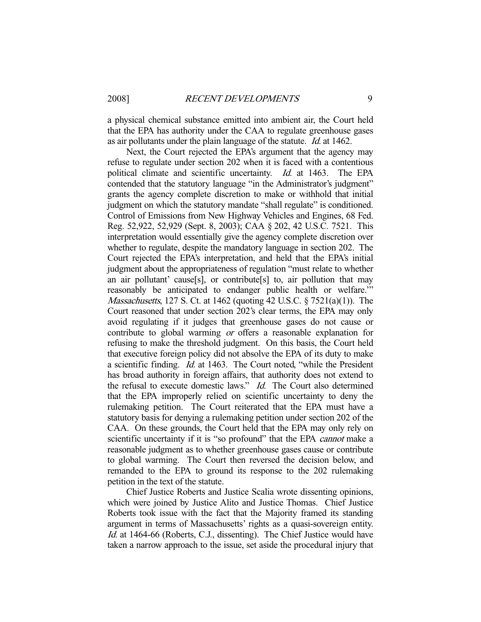a physical chemical substance emitted into ambient air, the Court held that the EPA has authority under the CAA to regulate greenhouse gases as air pollutants under the plain language of the statute. Id. at 1462.

 Next, the Court rejected the EPA's argument that the agency may refuse to regulate under section 202 when it is faced with a contentious political climate and scientific uncertainty. Id. at 1463. The EPA contended that the statutory language "in the Administrator's judgment" grants the agency complete discretion to make or withhold that initial judgment on which the statutory mandate "shall regulate" is conditioned. Control of Emissions from New Highway Vehicles and Engines, 68 Fed. Reg. 52,922, 52,929 (Sept. 8, 2003); CAA § 202, 42 U.S.C. 7521. This interpretation would essentially give the agency complete discretion over whether to regulate, despite the mandatory language in section 202. The Court rejected the EPA's interpretation, and held that the EPA's initial judgment about the appropriateness of regulation "must relate to whether an air pollutant' cause[s], or contribute[s] to, air pollution that may reasonably be anticipated to endanger public health or welfare.'" Massachusetts, 127 S. Ct. at 1462 (quoting 42 U.S.C. § 7521(a)(1)). The Court reasoned that under section 202's clear terms, the EPA may only avoid regulating if it judges that greenhouse gases do not cause or contribute to global warming or offers a reasonable explanation for refusing to make the threshold judgment. On this basis, the Court held that executive foreign policy did not absolve the EPA of its duty to make a scientific finding. Id. at 1463. The Court noted, "while the President has broad authority in foreign affairs, that authority does not extend to the refusal to execute domestic laws." Id. The Court also determined that the EPA improperly relied on scientific uncertainty to deny the rulemaking petition. The Court reiterated that the EPA must have a statutory basis for denying a rulemaking petition under section 202 of the CAA. On these grounds, the Court held that the EPA may only rely on scientific uncertainty if it is "so profound" that the EPA *cannot* make a reasonable judgment as to whether greenhouse gases cause or contribute to global warming. The Court then reversed the decision below, and remanded to the EPA to ground its response to the 202 rulemaking petition in the text of the statute.

 Chief Justice Roberts and Justice Scalia wrote dissenting opinions, which were joined by Justice Alito and Justice Thomas. Chief Justice Roberts took issue with the fact that the Majority framed its standing argument in terms of Massachusetts' rights as a quasi-sovereign entity. Id. at 1464-66 (Roberts, C.J., dissenting). The Chief Justice would have taken a narrow approach to the issue, set aside the procedural injury that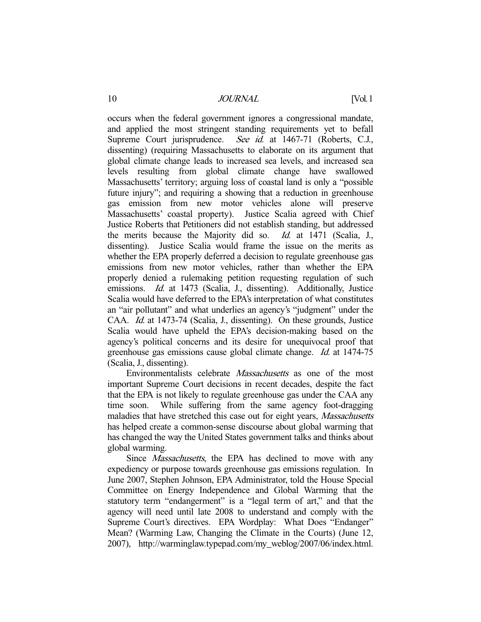occurs when the federal government ignores a congressional mandate, and applied the most stringent standing requirements yet to befall Supreme Court jurisprudence. See id. at 1467-71 (Roberts, C.J., dissenting) (requiring Massachusetts to elaborate on its argument that global climate change leads to increased sea levels, and increased sea levels resulting from global climate change have swallowed Massachusetts' territory; arguing loss of coastal land is only a "possible future injury"; and requiring a showing that a reduction in greenhouse gas emission from new motor vehicles alone will preserve Massachusetts' coastal property). Justice Scalia agreed with Chief Justice Roberts that Petitioners did not establish standing, but addressed the merits because the Majority did so. Id. at 1471 (Scalia, J., dissenting). Justice Scalia would frame the issue on the merits as whether the EPA properly deferred a decision to regulate greenhouse gas emissions from new motor vehicles, rather than whether the EPA properly denied a rulemaking petition requesting regulation of such emissions. *Id.* at 1473 (Scalia, J., dissenting). Additionally, Justice Scalia would have deferred to the EPA's interpretation of what constitutes an "air pollutant" and what underlies an agency's "judgment" under the CAA. Id. at 1473-74 (Scalia, J., dissenting). On these grounds, Justice Scalia would have upheld the EPA's decision-making based on the agency's political concerns and its desire for unequivocal proof that greenhouse gas emissions cause global climate change. Id. at 1474-75 (Scalia, J., dissenting).

Environmentalists celebrate *Massachusetts* as one of the most important Supreme Court decisions in recent decades, despite the fact that the EPA is not likely to regulate greenhouse gas under the CAA any time soon. While suffering from the same agency foot-dragging maladies that have stretched this case out for eight years, Massachusetts has helped create a common-sense discourse about global warming that has changed the way the United States government talks and thinks about global warming.

Since *Massachusetts*, the EPA has declined to move with any expediency or purpose towards greenhouse gas emissions regulation. In June 2007, Stephen Johnson, EPA Administrator, told the House Special Committee on Energy Independence and Global Warming that the statutory term "endangerment" is a "legal term of art," and that the agency will need until late 2008 to understand and comply with the Supreme Court's directives. EPA Wordplay: What Does "Endanger" Mean? (Warming Law, Changing the Climate in the Courts) (June 12, 2007), http://warminglaw.typepad.com/my\_weblog/2007/06/index.html.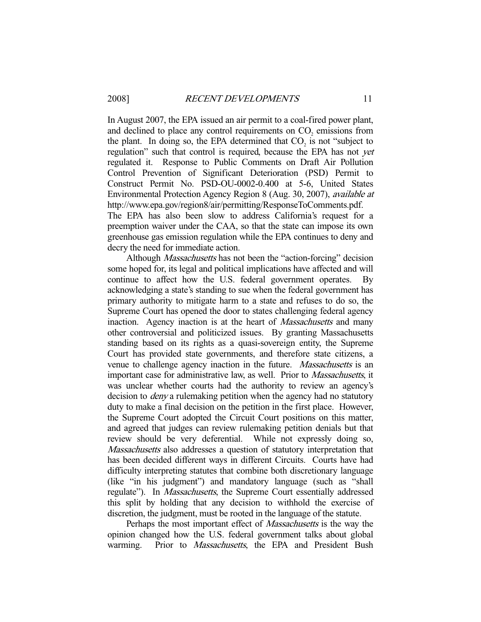In August 2007, the EPA issued an air permit to a coal-fired power plant, and declined to place any control requirements on  $CO<sub>2</sub>$  emissions from the plant. In doing so, the EPA determined that  $CO_2$  is not "subject to regulation" such that control is required, because the EPA has not *yet* regulated it. Response to Public Comments on Draft Air Pollution Control Prevention of Significant Deterioration (PSD) Permit to Construct Permit No. PSD-OU-0002-0.400 at 5-6, United States Environmental Protection Agency Region 8 (Aug. 30, 2007), available at http://www.epa.gov/region8/air/permitting/ResponseToComments.pdf. The EPA has also been slow to address California's request for a preemption waiver under the CAA, so that the state can impose its own greenhouse gas emission regulation while the EPA continues to deny and

decry the need for immediate action.

Although *Massachusetts* has not been the "action-forcing" decision some hoped for, its legal and political implications have affected and will continue to affect how the U.S. federal government operates. By acknowledging a state's standing to sue when the federal government has primary authority to mitigate harm to a state and refuses to do so, the Supreme Court has opened the door to states challenging federal agency inaction. Agency inaction is at the heart of *Massachusetts* and many other controversial and politicized issues. By granting Massachusetts standing based on its rights as a quasi-sovereign entity, the Supreme Court has provided state governments, and therefore state citizens, a venue to challenge agency inaction in the future. Massachusetts is an important case for administrative law, as well. Prior to Massachusetts, it was unclear whether courts had the authority to review an agency's decision to *deny* a rulemaking petition when the agency had no statutory duty to make a final decision on the petition in the first place. However, the Supreme Court adopted the Circuit Court positions on this matter, and agreed that judges can review rulemaking petition denials but that review should be very deferential. While not expressly doing so, Massachusetts also addresses a question of statutory interpretation that has been decided different ways in different Circuits. Courts have had difficulty interpreting statutes that combine both discretionary language (like "in his judgment") and mandatory language (such as "shall regulate"). In *Massachusetts*, the Supreme Court essentially addressed this split by holding that any decision to withhold the exercise of discretion, the judgment, must be rooted in the language of the statute.

Perhaps the most important effect of *Massachusetts* is the way the opinion changed how the U.S. federal government talks about global warming. Prior to *Massachusetts*, the EPA and President Bush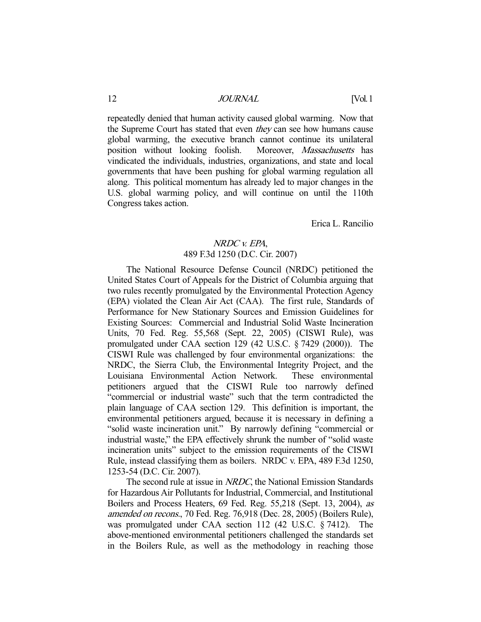repeatedly denied that human activity caused global warming. Now that the Supreme Court has stated that even *they* can see how humans cause global warming, the executive branch cannot continue its unilateral position without looking foolish. Moreover, Massachusetts has vindicated the individuals, industries, organizations, and state and local governments that have been pushing for global warming regulation all along. This political momentum has already led to major changes in the U.S. global warming policy, and will continue on until the 110th Congress takes action.

Erica L. Rancilio

# NRDC v. EPA,

# 489 F.3d 1250 (D.C. Cir. 2007)

 The National Resource Defense Council (NRDC) petitioned the United States Court of Appeals for the District of Columbia arguing that two rules recently promulgated by the Environmental Protection Agency (EPA) violated the Clean Air Act (CAA). The first rule, Standards of Performance for New Stationary Sources and Emission Guidelines for Existing Sources: Commercial and Industrial Solid Waste Incineration Units, 70 Fed. Reg. 55,568 (Sept. 22, 2005) (CISWI Rule), was promulgated under CAA section 129 (42 U.S.C. § 7429 (2000)). The CISWI Rule was challenged by four environmental organizations: the NRDC, the Sierra Club, the Environmental Integrity Project, and the Louisiana Environmental Action Network. These environmental petitioners argued that the CISWI Rule too narrowly defined "commercial or industrial waste" such that the term contradicted the plain language of CAA section 129. This definition is important, the environmental petitioners argued, because it is necessary in defining a "solid waste incineration unit." By narrowly defining "commercial or industrial waste," the EPA effectively shrunk the number of "solid waste incineration units" subject to the emission requirements of the CISWI Rule, instead classifying them as boilers. NRDC v. EPA, 489 F.3d 1250, 1253-54 (D.C. Cir. 2007).

The second rule at issue in *NRDC*, the National Emission Standards for Hazardous Air Pollutants for Industrial, Commercial, and Institutional Boilers and Process Heaters, 69 Fed. Reg. 55,218 (Sept. 13, 2004), as amended on recons., 70 Fed. Reg. 76,918 (Dec. 28, 2005) (Boilers Rule), was promulgated under CAA section 112 (42 U.S.C. § 7412). The above-mentioned environmental petitioners challenged the standards set in the Boilers Rule, as well as the methodology in reaching those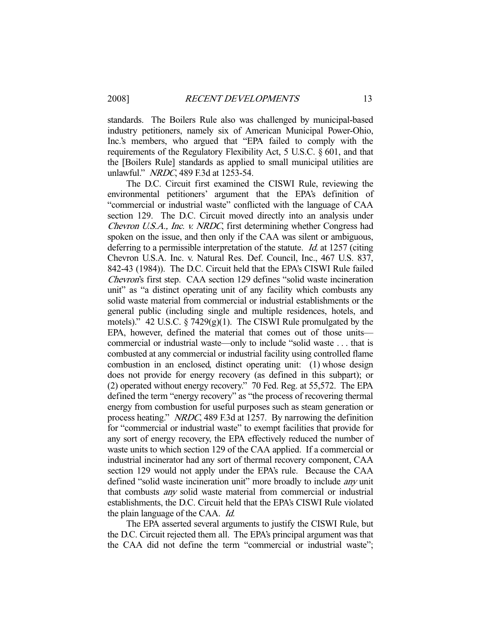standards. The Boilers Rule also was challenged by municipal-based industry petitioners, namely six of American Municipal Power-Ohio, Inc.'s members, who argued that "EPA failed to comply with the requirements of the Regulatory Flexibility Act, 5 U.S.C. § 601, and that the [Boilers Rule] standards as applied to small municipal utilities are unlawful." NRDC, 489 F.3d at 1253-54.

 The D.C. Circuit first examined the CISWI Rule, reviewing the environmental petitioners' argument that the EPA's definition of "commercial or industrial waste" conflicted with the language of CAA section 129. The D.C. Circuit moved directly into an analysis under Chevron U.S.A., Inc. v. NRDC, first determining whether Congress had spoken on the issue, and then only if the CAA was silent or ambiguous, deferring to a permissible interpretation of the statute. *Id.* at 1257 (citing Chevron U.S.A. Inc. v. Natural Res. Def. Council, Inc., 467 U.S. 837, 842-43 (1984)). The D.C. Circuit held that the EPA's CISWI Rule failed Chevron's first step. CAA section 129 defines "solid waste incineration unit" as "a distinct operating unit of any facility which combusts any solid waste material from commercial or industrial establishments or the general public (including single and multiple residences, hotels, and motels)." 42 U.S.C.  $\S$  7429(g)(1). The CISWI Rule promulgated by the EPA, however, defined the material that comes out of those units commercial or industrial waste—only to include "solid waste . . . that is combusted at any commercial or industrial facility using controlled flame combustion in an enclosed, distinct operating unit: (1) whose design does not provide for energy recovery (as defined in this subpart); or (2) operated without energy recovery." 70 Fed. Reg. at 55,572. The EPA defined the term "energy recovery" as "the process of recovering thermal energy from combustion for useful purposes such as steam generation or process heating." NRDC, 489 F.3d at 1257. By narrowing the definition for "commercial or industrial waste" to exempt facilities that provide for any sort of energy recovery, the EPA effectively reduced the number of waste units to which section 129 of the CAA applied. If a commercial or industrial incinerator had any sort of thermal recovery component, CAA section 129 would not apply under the EPA's rule. Because the CAA defined "solid waste incineration unit" more broadly to include *any* unit that combusts any solid waste material from commercial or industrial establishments, the D.C. Circuit held that the EPA's CISWI Rule violated the plain language of the CAA. Id.

 The EPA asserted several arguments to justify the CISWI Rule, but the D.C. Circuit rejected them all. The EPA's principal argument was that the CAA did not define the term "commercial or industrial waste";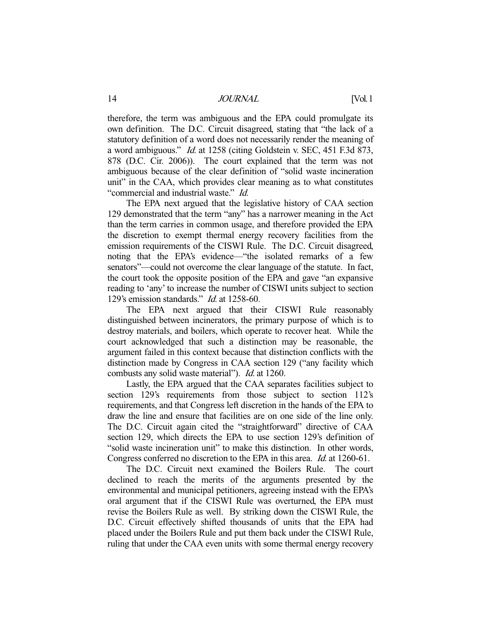therefore, the term was ambiguous and the EPA could promulgate its own definition. The D.C. Circuit disagreed, stating that "the lack of a statutory definition of a word does not necessarily render the meaning of a word ambiguous." Id. at 1258 (citing Goldstein v. SEC, 451 F.3d 873, 878 (D.C. Cir. 2006)). The court explained that the term was not ambiguous because of the clear definition of "solid waste incineration unit" in the CAA, which provides clear meaning as to what constitutes "commercial and industrial waste." Id.

 The EPA next argued that the legislative history of CAA section 129 demonstrated that the term "any" has a narrower meaning in the Act than the term carries in common usage, and therefore provided the EPA the discretion to exempt thermal energy recovery facilities from the emission requirements of the CISWI Rule. The D.C. Circuit disagreed, noting that the EPA's evidence—"the isolated remarks of a few senators"—could not overcome the clear language of the statute. In fact, the court took the opposite position of the EPA and gave "an expansive reading to 'any' to increase the number of CISWI units subject to section 129's emission standards." Id. at 1258-60.

 The EPA next argued that their CISWI Rule reasonably distinguished between incinerators, the primary purpose of which is to destroy materials, and boilers, which operate to recover heat. While the court acknowledged that such a distinction may be reasonable, the argument failed in this context because that distinction conflicts with the distinction made by Congress in CAA section 129 ("any facility which combusts any solid waste material"). Id. at 1260.

 Lastly, the EPA argued that the CAA separates facilities subject to section 129's requirements from those subject to section 112's requirements, and that Congress left discretion in the hands of the EPA to draw the line and ensure that facilities are on one side of the line only. The D.C. Circuit again cited the "straightforward" directive of CAA section 129, which directs the EPA to use section 129's definition of "solid waste incineration unit" to make this distinction. In other words, Congress conferred no discretion to the EPA in this area. Id. at 1260-61.

 The D.C. Circuit next examined the Boilers Rule. The court declined to reach the merits of the arguments presented by the environmental and municipal petitioners, agreeing instead with the EPA's oral argument that if the CISWI Rule was overturned, the EPA must revise the Boilers Rule as well. By striking down the CISWI Rule, the D.C. Circuit effectively shifted thousands of units that the EPA had placed under the Boilers Rule and put them back under the CISWI Rule, ruling that under the CAA even units with some thermal energy recovery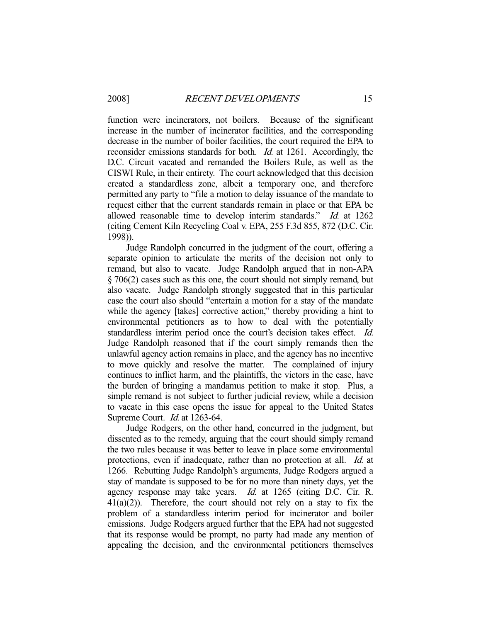function were incinerators, not boilers. Because of the significant increase in the number of incinerator facilities, and the corresponding decrease in the number of boiler facilities, the court required the EPA to reconsider emissions standards for both. Id. at 1261. Accordingly, the D.C. Circuit vacated and remanded the Boilers Rule, as well as the CISWI Rule, in their entirety. The court acknowledged that this decision created a standardless zone, albeit a temporary one, and therefore permitted any party to "file a motion to delay issuance of the mandate to request either that the current standards remain in place or that EPA be allowed reasonable time to develop interim standards." Id. at 1262 (citing Cement Kiln Recycling Coal v. EPA, 255 F.3d 855, 872 (D.C. Cir. 1998)).

 Judge Randolph concurred in the judgment of the court, offering a separate opinion to articulate the merits of the decision not only to remand, but also to vacate. Judge Randolph argued that in non-APA § 706(2) cases such as this one, the court should not simply remand, but also vacate. Judge Randolph strongly suggested that in this particular case the court also should "entertain a motion for a stay of the mandate while the agency [takes] corrective action," thereby providing a hint to environmental petitioners as to how to deal with the potentially standardless interim period once the court's decision takes effect. Id. Judge Randolph reasoned that if the court simply remands then the unlawful agency action remains in place, and the agency has no incentive to move quickly and resolve the matter. The complained of injury continues to inflict harm, and the plaintiffs, the victors in the case, have the burden of bringing a mandamus petition to make it stop. Plus, a simple remand is not subject to further judicial review, while a decision to vacate in this case opens the issue for appeal to the United States Supreme Court. Id. at 1263-64.

 Judge Rodgers, on the other hand, concurred in the judgment, but dissented as to the remedy, arguing that the court should simply remand the two rules because it was better to leave in place some environmental protections, even if inadequate, rather than no protection at all. Id. at 1266. Rebutting Judge Randolph's arguments, Judge Rodgers argued a stay of mandate is supposed to be for no more than ninety days, yet the agency response may take years. Id. at 1265 (citing D.C. Cir. R.  $41(a)(2)$ ). Therefore, the court should not rely on a stay to fix the problem of a standardless interim period for incinerator and boiler emissions. Judge Rodgers argued further that the EPA had not suggested that its response would be prompt, no party had made any mention of appealing the decision, and the environmental petitioners themselves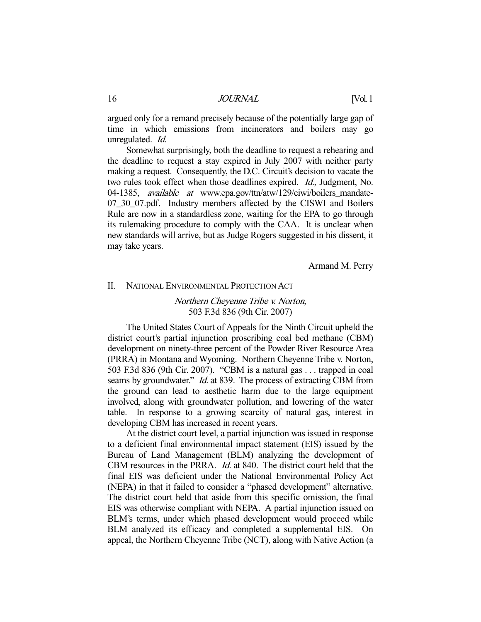argued only for a remand precisely because of the potentially large gap of time in which emissions from incinerators and boilers may go unregulated. Id.

 Somewhat surprisingly, both the deadline to request a rehearing and the deadline to request a stay expired in July 2007 with neither party making a request. Consequently, the D.C. Circuit's decision to vacate the two rules took effect when those deadlines expired. Id., Judgment, No. 04-1385, *available at* www.epa.gov/ttn/atw/129/ciwi/boilers mandate-07\_30\_07.pdf. Industry members affected by the CISWI and Boilers Rule are now in a standardless zone, waiting for the EPA to go through its rulemaking procedure to comply with the CAA. It is unclear when new standards will arrive, but as Judge Rogers suggested in his dissent, it may take years.

Armand M. Perry

#### II. NATIONAL ENVIRONMENTAL PROTECTION ACT

# Northern Cheyenne Tribe v. Norton, 503 F.3d 836 (9th Cir. 2007)

 The United States Court of Appeals for the Ninth Circuit upheld the district court's partial injunction proscribing coal bed methane (CBM) development on ninety-three percent of the Powder River Resource Area (PRRA) in Montana and Wyoming. Northern Cheyenne Tribe v. Norton, 503 F.3d 836 (9th Cir. 2007). "CBM is a natural gas . . . trapped in coal seams by groundwater." *Id.* at 839. The process of extracting CBM from the ground can lead to aesthetic harm due to the large equipment involved, along with groundwater pollution, and lowering of the water table. In response to a growing scarcity of natural gas, interest in developing CBM has increased in recent years.

 At the district court level, a partial injunction was issued in response to a deficient final environmental impact statement (EIS) issued by the Bureau of Land Management (BLM) analyzing the development of CBM resources in the PRRA. Id. at 840. The district court held that the final EIS was deficient under the National Environmental Policy Act (NEPA) in that it failed to consider a "phased development" alternative. The district court held that aside from this specific omission, the final EIS was otherwise compliant with NEPA. A partial injunction issued on BLM's terms, under which phased development would proceed while BLM analyzed its efficacy and completed a supplemental EIS. On appeal, the Northern Cheyenne Tribe (NCT), along with Native Action (a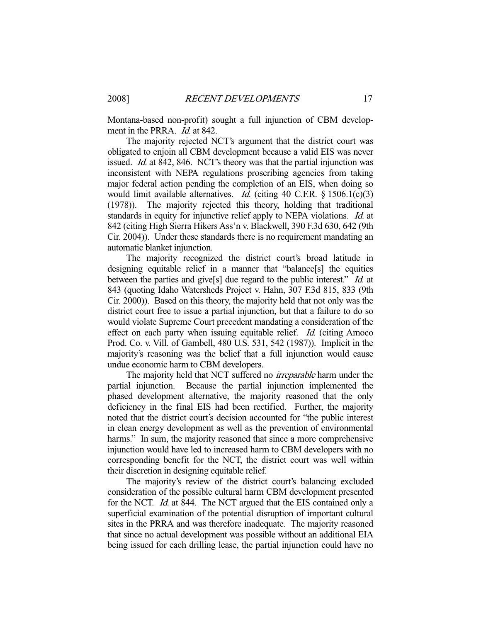Montana-based non-profit) sought a full injunction of CBM development in the PRRA. *Id.* at 842.

 The majority rejected NCT's argument that the district court was obligated to enjoin all CBM development because a valid EIS was never issued. *Id.* at 842, 846. NCT's theory was that the partial injunction was inconsistent with NEPA regulations proscribing agencies from taking major federal action pending the completion of an EIS, when doing so would limit available alternatives. *Id.* (citing 40 C.F.R.  $\S 1506.1(c)(3)$ ) (1978)). The majority rejected this theory, holding that traditional standards in equity for injunctive relief apply to NEPA violations. *Id.* at 842 (citing High Sierra Hikers Ass'n v. Blackwell, 390 F.3d 630, 642 (9th Cir. 2004)). Under these standards there is no requirement mandating an automatic blanket injunction.

 The majority recognized the district court's broad latitude in designing equitable relief in a manner that "balance[s] the equities between the parties and give<sup>[s]</sup> due regard to the public interest." *Id.* at 843 (quoting Idaho Watersheds Project v. Hahn, 307 F.3d 815, 833 (9th Cir. 2000)). Based on this theory, the majority held that not only was the district court free to issue a partial injunction, but that a failure to do so would violate Supreme Court precedent mandating a consideration of the effect on each party when issuing equitable relief. Id. (citing Amoco Prod. Co. v. Vill. of Gambell, 480 U.S. 531, 542 (1987)). Implicit in the majority's reasoning was the belief that a full injunction would cause undue economic harm to CBM developers.

The majority held that NCT suffered no *irreparable* harm under the partial injunction. Because the partial injunction implemented the phased development alternative, the majority reasoned that the only deficiency in the final EIS had been rectified. Further, the majority noted that the district court's decision accounted for "the public interest in clean energy development as well as the prevention of environmental harms." In sum, the majority reasoned that since a more comprehensive injunction would have led to increased harm to CBM developers with no corresponding benefit for the NCT, the district court was well within their discretion in designing equitable relief.

 The majority's review of the district court's balancing excluded consideration of the possible cultural harm CBM development presented for the NCT. Id. at 844. The NCT argued that the EIS contained only a superficial examination of the potential disruption of important cultural sites in the PRRA and was therefore inadequate. The majority reasoned that since no actual development was possible without an additional EIA being issued for each drilling lease, the partial injunction could have no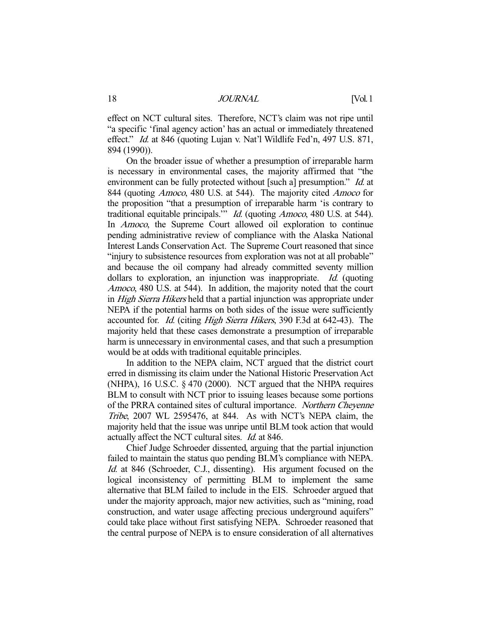effect on NCT cultural sites. Therefore, NCT's claim was not ripe until "a specific 'final agency action' has an actual or immediately threatened effect." Id. at 846 (quoting Lujan v. Nat'l Wildlife Fed'n, 497 U.S. 871, 894 (1990)).

 On the broader issue of whether a presumption of irreparable harm is necessary in environmental cases, the majority affirmed that "the environment can be fully protected without [such a] presumption." *Id.* at 844 (quoting Amoco, 480 U.S. at 544). The majority cited Amoco for the proposition "that a presumption of irreparable harm 'is contrary to traditional equitable principals." *Id.* (quoting *Amoco*, 480 U.S. at 544). In *Amoco*, the Supreme Court allowed oil exploration to continue pending administrative review of compliance with the Alaska National Interest Lands Conservation Act. The Supreme Court reasoned that since "injury to subsistence resources from exploration was not at all probable" and because the oil company had already committed seventy million dollars to exploration, an injunction was inappropriate. Id. (quoting Amoco, 480 U.S. at 544). In addition, the majority noted that the court in High Sierra Hikers held that a partial injunction was appropriate under NEPA if the potential harms on both sides of the issue were sufficiently accounted for. Id. (citing High Sierra Hikers, 390 F.3d at 642-43). The majority held that these cases demonstrate a presumption of irreparable harm is unnecessary in environmental cases, and that such a presumption would be at odds with traditional equitable principles.

 In addition to the NEPA claim, NCT argued that the district court erred in dismissing its claim under the National Historic Preservation Act (NHPA), 16 U.S.C. § 470 (2000). NCT argued that the NHPA requires BLM to consult with NCT prior to issuing leases because some portions of the PRRA contained sites of cultural importance. Northern Cheyenne Tribe, 2007 WL 2595476, at 844. As with NCT's NEPA claim, the majority held that the issue was unripe until BLM took action that would actually affect the NCT cultural sites. Id. at 846.

 Chief Judge Schroeder dissented, arguing that the partial injunction failed to maintain the status quo pending BLM's compliance with NEPA. Id. at 846 (Schroeder, C.J., dissenting). His argument focused on the logical inconsistency of permitting BLM to implement the same alternative that BLM failed to include in the EIS. Schroeder argued that under the majority approach, major new activities, such as "mining, road construction, and water usage affecting precious underground aquifers" could take place without first satisfying NEPA. Schroeder reasoned that the central purpose of NEPA is to ensure consideration of all alternatives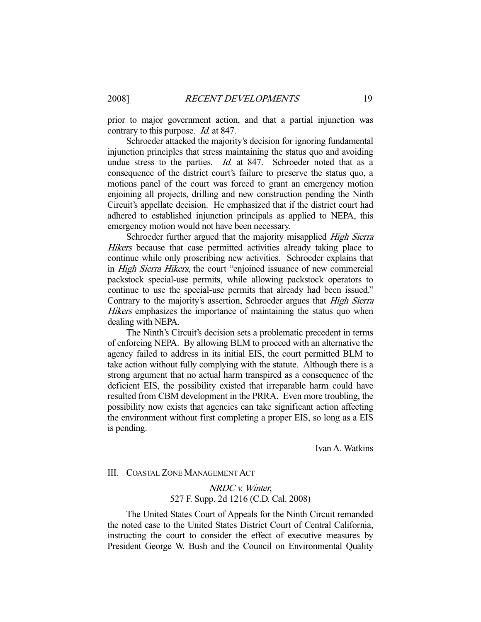prior to major government action, and that a partial injunction was contrary to this purpose. *Id.* at 847.

 Schroeder attacked the majority's decision for ignoring fundamental injunction principles that stress maintaining the status quo and avoiding undue stress to the parties. *Id.* at 847. Schroeder noted that as a consequence of the district court's failure to preserve the status quo, a motions panel of the court was forced to grant an emergency motion enjoining all projects, drilling and new construction pending the Ninth Circuit's appellate decision. He emphasized that if the district court had adhered to established injunction principals as applied to NEPA, this emergency motion would not have been necessary.

Schroeder further argued that the majority misapplied High Sierra Hikers because that case permitted activities already taking place to continue while only proscribing new activities. Schroeder explains that in High Sierra Hikers, the court "enjoined issuance of new commercial packstock special-use permits, while allowing packstock operators to continue to use the special-use permits that already had been issued." Contrary to the majority's assertion, Schroeder argues that High Sierra Hikers emphasizes the importance of maintaining the status quo when dealing with NEPA.

 The Ninth's Circuit's decision sets a problematic precedent in terms of enforcing NEPA. By allowing BLM to proceed with an alternative the agency failed to address in its initial EIS, the court permitted BLM to take action without fully complying with the statute. Although there is a strong argument that no actual harm transpired as a consequence of the deficient EIS, the possibility existed that irreparable harm could have resulted from CBM development in the PRRA. Even more troubling, the possibility now exists that agencies can take significant action affecting the environment without first completing a proper EIS, so long as a EIS is pending.

Ivan A. Watkins

#### III. COASTAL ZONE MANAGEMENT ACT

# NRDC v. Winter, 527 F. Supp. 2d 1216 (C.D. Cal. 2008)

 The United States Court of Appeals for the Ninth Circuit remanded the noted case to the United States District Court of Central California, instructing the court to consider the effect of executive measures by President George W. Bush and the Council on Environmental Quality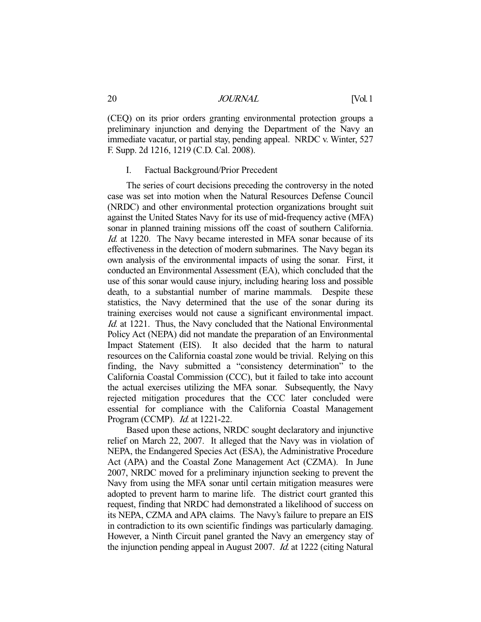(CEQ) on its prior orders granting environmental protection groups a preliminary injunction and denying the Department of the Navy an immediate vacatur, or partial stay, pending appeal. NRDC v. Winter, 527 F. Supp. 2d 1216, 1219 (C.D. Cal. 2008).

#### I. Factual Background/Prior Precedent

 The series of court decisions preceding the controversy in the noted case was set into motion when the Natural Resources Defense Council (NRDC) and other environmental protection organizations brought suit against the United States Navy for its use of mid-frequency active (MFA) sonar in planned training missions off the coast of southern California. Id. at 1220. The Navy became interested in MFA sonar because of its effectiveness in the detection of modern submarines. The Navy began its own analysis of the environmental impacts of using the sonar. First, it conducted an Environmental Assessment (EA), which concluded that the use of this sonar would cause injury, including hearing loss and possible death, to a substantial number of marine mammals. Despite these statistics, the Navy determined that the use of the sonar during its training exercises would not cause a significant environmental impact. Id. at 1221. Thus, the Navy concluded that the National Environmental Policy Act (NEPA) did not mandate the preparation of an Environmental Impact Statement (EIS). It also decided that the harm to natural resources on the California coastal zone would be trivial. Relying on this finding, the Navy submitted a "consistency determination" to the California Coastal Commission (CCC), but it failed to take into account the actual exercises utilizing the MFA sonar. Subsequently, the Navy rejected mitigation procedures that the CCC later concluded were essential for compliance with the California Coastal Management Program (CCMP). Id. at 1221-22.

 Based upon these actions, NRDC sought declaratory and injunctive relief on March 22, 2007. It alleged that the Navy was in violation of NEPA, the Endangered Species Act (ESA), the Administrative Procedure Act (APA) and the Coastal Zone Management Act (CZMA). In June 2007, NRDC moved for a preliminary injunction seeking to prevent the Navy from using the MFA sonar until certain mitigation measures were adopted to prevent harm to marine life. The district court granted this request, finding that NRDC had demonstrated a likelihood of success on its NEPA, CZMA and APA claims. The Navy's failure to prepare an EIS in contradiction to its own scientific findings was particularly damaging. However, a Ninth Circuit panel granted the Navy an emergency stay of the injunction pending appeal in August 2007. Id. at 1222 (citing Natural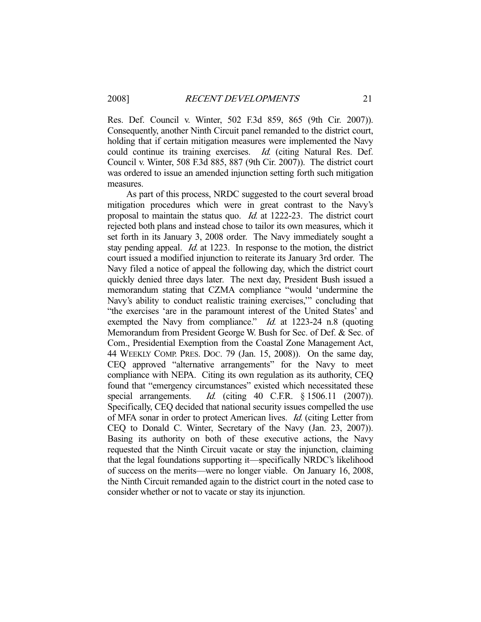Res. Def. Council v. Winter, 502 F.3d 859, 865 (9th Cir. 2007)). Consequently, another Ninth Circuit panel remanded to the district court, holding that if certain mitigation measures were implemented the Navy could continue its training exercises. Id. (citing Natural Res. Def. Council v. Winter, 508 F.3d 885, 887 (9th Cir. 2007)). The district court was ordered to issue an amended injunction setting forth such mitigation measures.

 As part of this process, NRDC suggested to the court several broad mitigation procedures which were in great contrast to the Navy's proposal to maintain the status quo. Id. at 1222-23. The district court rejected both plans and instead chose to tailor its own measures, which it set forth in its January 3, 2008 order. The Navy immediately sought a stay pending appeal. Id. at 1223. In response to the motion, the district court issued a modified injunction to reiterate its January 3rd order. The Navy filed a notice of appeal the following day, which the district court quickly denied three days later. The next day, President Bush issued a memorandum stating that CZMA compliance "would 'undermine the Navy's ability to conduct realistic training exercises,'" concluding that "the exercises 'are in the paramount interest of the United States' and exempted the Navy from compliance." *Id.* at 1223-24 n.8 (quoting Memorandum from President George W. Bush for Sec. of Def. & Sec. of Com., Presidential Exemption from the Coastal Zone Management Act, 44 WEEKLY COMP. PRES. DOC. 79 (Jan. 15, 2008)). On the same day, CEQ approved "alternative arrangements" for the Navy to meet compliance with NEPA. Citing its own regulation as its authority, CEQ found that "emergency circumstances" existed which necessitated these special arrangements. *Id.* (citing 40 C.F.R. § 1506.11 (2007)). Specifically, CEQ decided that national security issues compelled the use of MFA sonar in order to protect American lives. Id. (citing Letter from CEQ to Donald C. Winter, Secretary of the Navy (Jan. 23, 2007)). Basing its authority on both of these executive actions, the Navy requested that the Ninth Circuit vacate or stay the injunction, claiming that the legal foundations supporting it—specifically NRDC's likelihood of success on the merits—were no longer viable. On January 16, 2008, the Ninth Circuit remanded again to the district court in the noted case to consider whether or not to vacate or stay its injunction.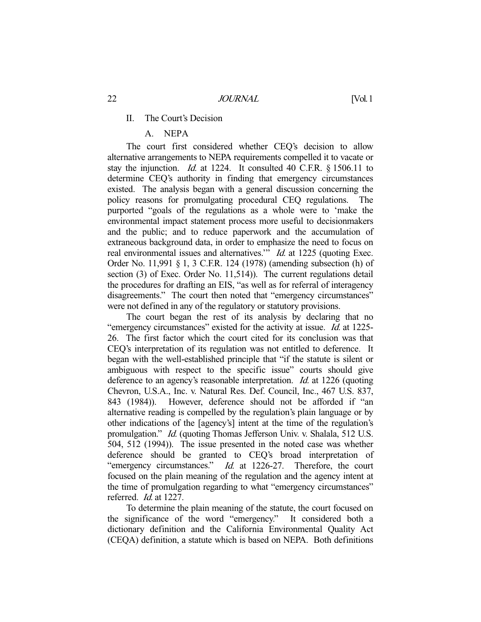#### II. The Court's Decision

# A. NEPA

 The court first considered whether CEQ's decision to allow alternative arrangements to NEPA requirements compelled it to vacate or stay the injunction. Id. at 1224. It consulted 40 C.F.R. § 1506.11 to determine CEQ's authority in finding that emergency circumstances existed. The analysis began with a general discussion concerning the policy reasons for promulgating procedural CEQ regulations. The purported "goals of the regulations as a whole were to 'make the environmental impact statement process more useful to decisionmakers and the public; and to reduce paperwork and the accumulation of extraneous background data, in order to emphasize the need to focus on real environmental issues and alternatives." Id. at 1225 (quoting Exec. Order No. 11,991 § 1, 3 C.F.R. 124 (1978) (amending subsection (h) of section (3) of Exec. Order No. 11,514)). The current regulations detail the procedures for drafting an EIS, "as well as for referral of interagency disagreements." The court then noted that "emergency circumstances" were not defined in any of the regulatory or statutory provisions.

 The court began the rest of its analysis by declaring that no "emergency circumstances" existed for the activity at issue. Id. at 1225-26. The first factor which the court cited for its conclusion was that CEQ's interpretation of its regulation was not entitled to deference. It began with the well-established principle that "if the statute is silent or ambiguous with respect to the specific issue" courts should give deference to an agency's reasonable interpretation. *Id.* at 1226 (quoting Chevron, U.S.A., Inc. v. Natural Res. Def. Council, Inc., 467 U.S. 837, 843 (1984)). However, deference should not be afforded if "an alternative reading is compelled by the regulation's plain language or by other indications of the [agency's] intent at the time of the regulation's promulgation." Id. (quoting Thomas Jefferson Univ. v. Shalala, 512 U.S. 504, 512 (1994)). The issue presented in the noted case was whether deference should be granted to CEQ's broad interpretation of "emergency circumstances." *Id.* at 1226-27. Therefore, the court focused on the plain meaning of the regulation and the agency intent at the time of promulgation regarding to what "emergency circumstances" referred. Id. at 1227.

 To determine the plain meaning of the statute, the court focused on the significance of the word "emergency." It considered both a dictionary definition and the California Environmental Quality Act (CEQA) definition, a statute which is based on NEPA. Both definitions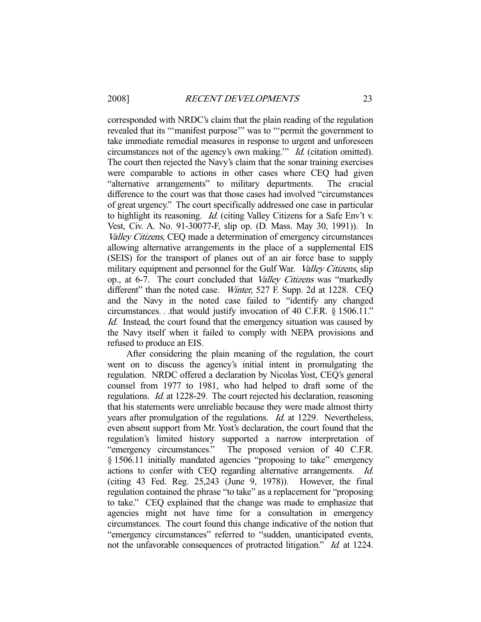corresponded with NRDC's claim that the plain reading of the regulation revealed that its "'manifest purpose'" was to "'permit the government to take immediate remedial measures in response to urgent and unforeseen circumstances not of the agency's own making.'" Id. (citation omitted). The court then rejected the Navy's claim that the sonar training exercises were comparable to actions in other cases where CEQ had given "alternative arrangements" to military departments. The crucial difference to the court was that those cases had involved "circumstances of great urgency." The court specifically addressed one case in particular to highlight its reasoning. Id. (citing Valley Citizens for a Safe Env't v. Vest, Civ. A. No. 91-30077-F, slip op. (D. Mass. May 30, 1991)). In Valley Citizens, CEQ made a determination of emergency circumstances allowing alternative arrangements in the place of a supplemental EIS (SEIS) for the transport of planes out of an air force base to supply military equipment and personnel for the Gulf War. *Valley Citizens*, slip op., at 6-7. The court concluded that Valley Citizens was "markedly different" than the noted case. *Winter*, 527 F. Supp. 2d at 1228. CEO and the Navy in the noted case failed to "identify any changed circumstances. . .that would justify invocation of 40 C.F.R. § 1506.11." Id. Instead, the court found that the emergency situation was caused by the Navy itself when it failed to comply with NEPA provisions and refused to produce an EIS.

 After considering the plain meaning of the regulation, the court went on to discuss the agency's initial intent in promulgating the regulation. NRDC offered a declaration by Nicolas Yost, CEQ's general counsel from 1977 to 1981, who had helped to draft some of the regulations. Id. at 1228-29. The court rejected his declaration, reasoning that his statements were unreliable because they were made almost thirty years after promulgation of the regulations. Id. at 1229. Nevertheless, even absent support from Mr. Yost's declaration, the court found that the regulation's limited history supported a narrow interpretation of "emergency circumstances." The proposed version of 40 C.F.R. § 1506.11 initially mandated agencies "proposing to take" emergency actions to confer with CEQ regarding alternative arrangements. Id. (citing 43 Fed. Reg.  $25,243$  (June 9, 1978)). However, the final regulation contained the phrase "to take" as a replacement for "proposing to take." CEQ explained that the change was made to emphasize that agencies might not have time for a consultation in emergency circumstances. The court found this change indicative of the notion that "emergency circumstances" referred to "sudden, unanticipated events, not the unfavorable consequences of protracted litigation." *Id.* at 1224.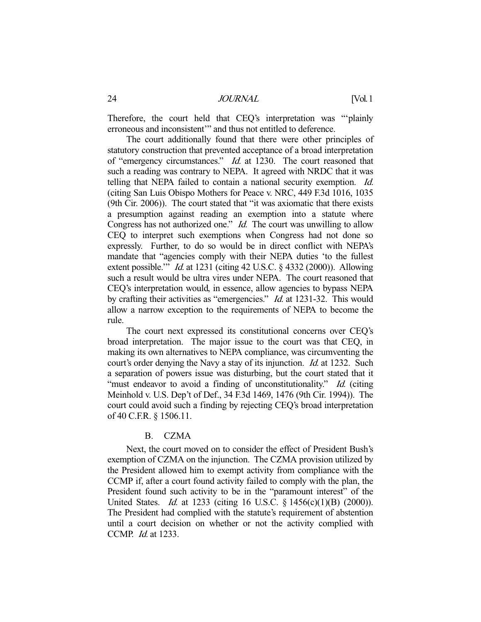Therefore, the court held that CEQ's interpretation was "'plainly erroneous and inconsistent'" and thus not entitled to deference.

 The court additionally found that there were other principles of statutory construction that prevented acceptance of a broad interpretation of "emergency circumstances." Id. at 1230. The court reasoned that such a reading was contrary to NEPA. It agreed with NRDC that it was telling that NEPA failed to contain a national security exemption. Id. (citing San Luis Obispo Mothers for Peace v. NRC, 449 F.3d 1016, 1035 (9th Cir. 2006)). The court stated that "it was axiomatic that there exists a presumption against reading an exemption into a statute where Congress has not authorized one." *Id.* The court was unwilling to allow CEQ to interpret such exemptions when Congress had not done so expressly. Further, to do so would be in direct conflict with NEPA's mandate that "agencies comply with their NEPA duties 'to the fullest extent possible." *Id.* at 1231 (citing 42 U.S.C. § 4332 (2000)). Allowing such a result would be ultra vires under NEPA. The court reasoned that CEQ's interpretation would, in essence, allow agencies to bypass NEPA by crafting their activities as "emergencies." *Id.* at 1231-32. This would allow a narrow exception to the requirements of NEPA to become the rule.

 The court next expressed its constitutional concerns over CEQ's broad interpretation. The major issue to the court was that CEQ, in making its own alternatives to NEPA compliance, was circumventing the court's order denying the Navy a stay of its injunction. *Id.* at 1232. Such a separation of powers issue was disturbing, but the court stated that it "must endeavor to avoid a finding of unconstitutionality." Id. (citing Meinhold v. U.S. Dep't of Def., 34 F.3d 1469, 1476 (9th Cir. 1994)). The court could avoid such a finding by rejecting CEQ's broad interpretation of 40 C.F.R. § 1506.11.

#### B. CZMA

 Next, the court moved on to consider the effect of President Bush's exemption of CZMA on the injunction. The CZMA provision utilized by the President allowed him to exempt activity from compliance with the CCMP if, after a court found activity failed to comply with the plan, the President found such activity to be in the "paramount interest" of the United States. *Id.* at 1233 (citing 16 U.S.C. § 1456(c)(1)(B) (2000)). The President had complied with the statute's requirement of abstention until a court decision on whether or not the activity complied with CCMP. Id. at 1233.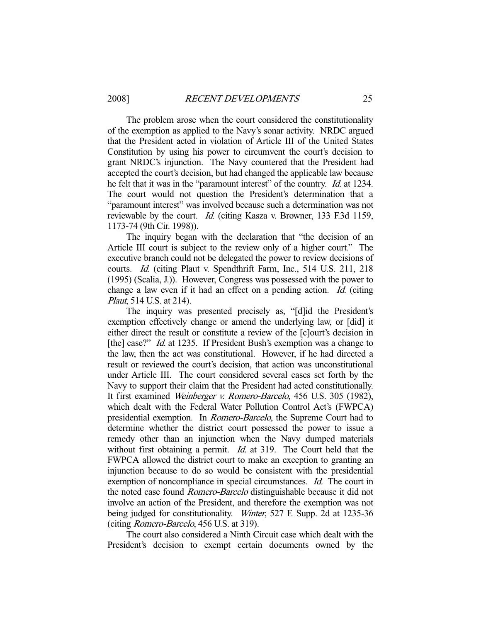The problem arose when the court considered the constitutionality of the exemption as applied to the Navy's sonar activity. NRDC argued that the President acted in violation of Article III of the United States Constitution by using his power to circumvent the court's decision to grant NRDC's injunction. The Navy countered that the President had accepted the court's decision, but had changed the applicable law because he felt that it was in the "paramount interest" of the country. *Id.* at 1234. The court would not question the President's determination that a "paramount interest" was involved because such a determination was not reviewable by the court. *Id.* (citing Kasza v. Browner, 133 F.3d 1159, 1173-74 (9th Cir. 1998)).

 The inquiry began with the declaration that "the decision of an Article III court is subject to the review only of a higher court." The executive branch could not be delegated the power to review decisions of courts. Id. (citing Plaut v. Spendthrift Farm, Inc., 514 U.S. 211, 218 (1995) (Scalia, J.)). However, Congress was possessed with the power to change a law even if it had an effect on a pending action. Id. (citing *Plaut*, 514 U.S. at 214).

 The inquiry was presented precisely as, "[d]id the President's exemption effectively change or amend the underlying law, or [did] it either direct the result or constitute a review of the [c]ourt's decision in [the] case?" *Id.* at 1235. If President Bush's exemption was a change to the law, then the act was constitutional. However, if he had directed a result or reviewed the court's decision, that action was unconstitutional under Article III. The court considered several cases set forth by the Navy to support their claim that the President had acted constitutionally. It first examined Weinberger v. Romero-Barcelo, 456 U.S. 305 (1982), which dealt with the Federal Water Pollution Control Act's (FWPCA) presidential exemption. In Romero-Barcelo, the Supreme Court had to determine whether the district court possessed the power to issue a remedy other than an injunction when the Navy dumped materials without first obtaining a permit. *Id.* at 319. The Court held that the FWPCA allowed the district court to make an exception to granting an injunction because to do so would be consistent with the presidential exemption of noncompliance in special circumstances. *Id.* The court in the noted case found Romero-Barcelo distinguishable because it did not involve an action of the President, and therefore the exemption was not being judged for constitutionality. Winter, 527 F. Supp. 2d at 1235-36 (citing Romero-Barcelo, 456 U.S. at 319).

 The court also considered a Ninth Circuit case which dealt with the President's decision to exempt certain documents owned by the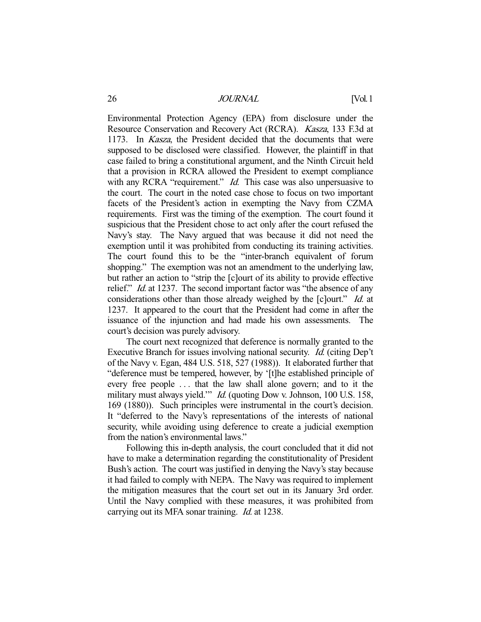Environmental Protection Agency (EPA) from disclosure under the Resource Conservation and Recovery Act (RCRA). Kasza, 133 F.3d at 1173. In Kasza, the President decided that the documents that were supposed to be disclosed were classified. However, the plaintiff in that case failed to bring a constitutional argument, and the Ninth Circuit held that a provision in RCRA allowed the President to exempt compliance with any RCRA "requirement." *Id.* This case was also unpersuasive to the court. The court in the noted case chose to focus on two important facets of the President's action in exempting the Navy from CZMA requirements. First was the timing of the exemption. The court found it suspicious that the President chose to act only after the court refused the Navy's stay. The Navy argued that was because it did not need the exemption until it was prohibited from conducting its training activities. The court found this to be the "inter-branch equivalent of forum shopping." The exemption was not an amendment to the underlying law, but rather an action to "strip the [c]ourt of its ability to provide effective relief." *Id.* at 1237. The second important factor was "the absence of any considerations other than those already weighed by the [c]ourt." *Id.* at 1237. It appeared to the court that the President had come in after the issuance of the injunction and had made his own assessments. The court's decision was purely advisory.

 The court next recognized that deference is normally granted to the Executive Branch for issues involving national security. Id. (citing Dep't of the Navy v. Egan, 484 U.S. 518, 527 (1988)). It elaborated further that "deference must be tempered, however, by '[t]he established principle of every free people . . . that the law shall alone govern; and to it the military must always yield." *Id.* (quoting Dow v. Johnson, 100 U.S. 158, 169 (1880)). Such principles were instrumental in the court's decision. It "deferred to the Navy's representations of the interests of national security, while avoiding using deference to create a judicial exemption from the nation's environmental laws."

 Following this in-depth analysis, the court concluded that it did not have to make a determination regarding the constitutionality of President Bush's action. The court was justified in denying the Navy's stay because it had failed to comply with NEPA. The Navy was required to implement the mitigation measures that the court set out in its January 3rd order. Until the Navy complied with these measures, it was prohibited from carrying out its MFA sonar training. *Id.* at 1238.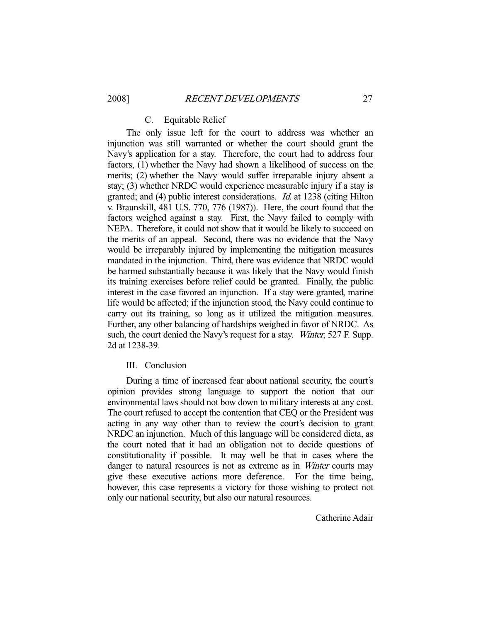#### C. Equitable Relief

 The only issue left for the court to address was whether an injunction was still warranted or whether the court should grant the Navy's application for a stay. Therefore, the court had to address four factors, (1) whether the Navy had shown a likelihood of success on the merits; (2) whether the Navy would suffer irreparable injury absent a stay; (3) whether NRDC would experience measurable injury if a stay is granted; and (4) public interest considerations. Id. at 1238 (citing Hilton v. Braunskill, 481 U.S. 770, 776 (1987)). Here, the court found that the factors weighed against a stay. First, the Navy failed to comply with NEPA. Therefore, it could not show that it would be likely to succeed on the merits of an appeal. Second, there was no evidence that the Navy would be irreparably injured by implementing the mitigation measures mandated in the injunction. Third, there was evidence that NRDC would be harmed substantially because it was likely that the Navy would finish its training exercises before relief could be granted. Finally, the public interest in the case favored an injunction. If a stay were granted, marine life would be affected; if the injunction stood, the Navy could continue to carry out its training, so long as it utilized the mitigation measures. Further, any other balancing of hardships weighed in favor of NRDC. As such, the court denied the Navy's request for a stay. Winter, 527 F. Supp. 2d at 1238-39.

#### III. Conclusion

 During a time of increased fear about national security, the court's opinion provides strong language to support the notion that our environmental laws should not bow down to military interests at any cost. The court refused to accept the contention that CEQ or the President was acting in any way other than to review the court's decision to grant NRDC an injunction. Much of this language will be considered dicta, as the court noted that it had an obligation not to decide questions of constitutionality if possible. It may well be that in cases where the danger to natural resources is not as extreme as in *Winter* courts may give these executive actions more deference. For the time being, however, this case represents a victory for those wishing to protect not only our national security, but also our natural resources.

Catherine Adair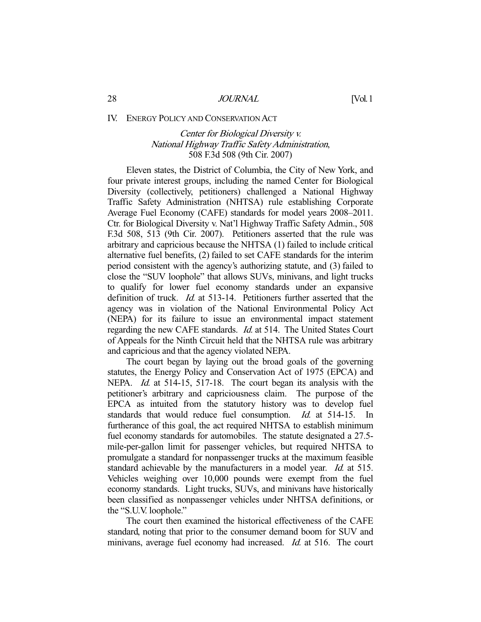#### IV. ENERGY POLICY AND CONSERVATION ACT

# Center for Biological Diversity v. National Highway Traffic Safety Administration, 508 F.3d 508 (9th Cir. 2007)

 Eleven states, the District of Columbia, the City of New York, and four private interest groups, including the named Center for Biological Diversity (collectively, petitioners) challenged a National Highway Traffic Safety Administration (NHTSA) rule establishing Corporate Average Fuel Economy (CAFE) standards for model years 2008–2011. Ctr. for Biological Diversity v. Nat'l Highway Traffic Safety Admin., 508 F.3d 508, 513 (9th Cir. 2007). Petitioners asserted that the rule was arbitrary and capricious because the NHTSA (1) failed to include critical alternative fuel benefits, (2) failed to set CAFE standards for the interim period consistent with the agency's authorizing statute, and (3) failed to close the "SUV loophole" that allows SUVs, minivans, and light trucks to qualify for lower fuel economy standards under an expansive definition of truck. *Id.* at 513-14. Petitioners further asserted that the agency was in violation of the National Environmental Policy Act (NEPA) for its failure to issue an environmental impact statement regarding the new CAFE standards. *Id.* at 514. The United States Court of Appeals for the Ninth Circuit held that the NHTSA rule was arbitrary and capricious and that the agency violated NEPA.

 The court began by laying out the broad goals of the governing statutes, the Energy Policy and Conservation Act of 1975 (EPCA) and NEPA. *Id.* at 514-15, 517-18. The court began its analysis with the petitioner's arbitrary and capriciousness claim. The purpose of the EPCA as intuited from the statutory history was to develop fuel standards that would reduce fuel consumption. Id. at 514-15. In furtherance of this goal, the act required NHTSA to establish minimum fuel economy standards for automobiles. The statute designated a 27.5 mile-per-gallon limit for passenger vehicles, but required NHTSA to promulgate a standard for nonpassenger trucks at the maximum feasible standard achievable by the manufacturers in a model year. *Id.* at 515. Vehicles weighing over 10,000 pounds were exempt from the fuel economy standards. Light trucks, SUVs, and minivans have historically been classified as nonpassenger vehicles under NHTSA definitions, or the "S.U.V. loophole."

 The court then examined the historical effectiveness of the CAFE standard, noting that prior to the consumer demand boom for SUV and minivans, average fuel economy had increased. *Id.* at 516. The court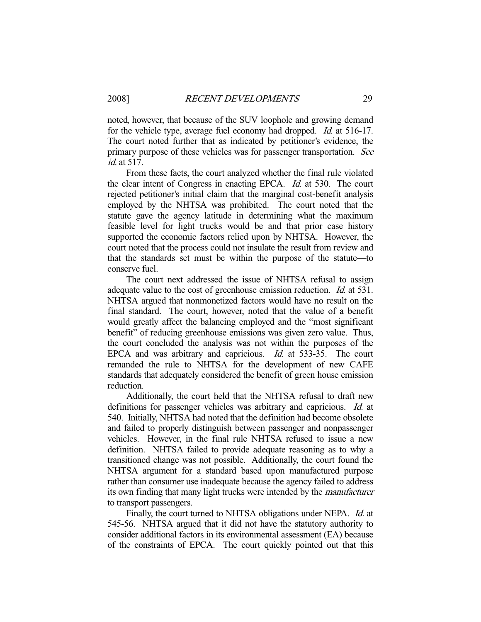noted, however, that because of the SUV loophole and growing demand for the vehicle type, average fuel economy had dropped. *Id.* at 516-17. The court noted further that as indicated by petitioner's evidence, the primary purpose of these vehicles was for passenger transportation. See id. at 517.

 From these facts, the court analyzed whether the final rule violated the clear intent of Congress in enacting EPCA. Id. at 530. The court rejected petitioner's initial claim that the marginal cost-benefit analysis employed by the NHTSA was prohibited. The court noted that the statute gave the agency latitude in determining what the maximum feasible level for light trucks would be and that prior case history supported the economic factors relied upon by NHTSA. However, the court noted that the process could not insulate the result from review and that the standards set must be within the purpose of the statute—to conserve fuel.

 The court next addressed the issue of NHTSA refusal to assign adequate value to the cost of greenhouse emission reduction. Id. at 531. NHTSA argued that nonmonetized factors would have no result on the final standard. The court, however, noted that the value of a benefit would greatly affect the balancing employed and the "most significant benefit" of reducing greenhouse emissions was given zero value. Thus, the court concluded the analysis was not within the purposes of the EPCA and was arbitrary and capricious. Id. at 533-35. The court remanded the rule to NHTSA for the development of new CAFE standards that adequately considered the benefit of green house emission reduction.

 Additionally, the court held that the NHTSA refusal to draft new definitions for passenger vehicles was arbitrary and capricious. Id. at 540. Initially, NHTSA had noted that the definition had become obsolete and failed to properly distinguish between passenger and nonpassenger vehicles. However, in the final rule NHTSA refused to issue a new definition. NHTSA failed to provide adequate reasoning as to why a transitioned change was not possible. Additionally, the court found the NHTSA argument for a standard based upon manufactured purpose rather than consumer use inadequate because the agency failed to address its own finding that many light trucks were intended by the manufacturer to transport passengers.

Finally, the court turned to NHTSA obligations under NEPA. Id. at 545-56. NHTSA argued that it did not have the statutory authority to consider additional factors in its environmental assessment (EA) because of the constraints of EPCA. The court quickly pointed out that this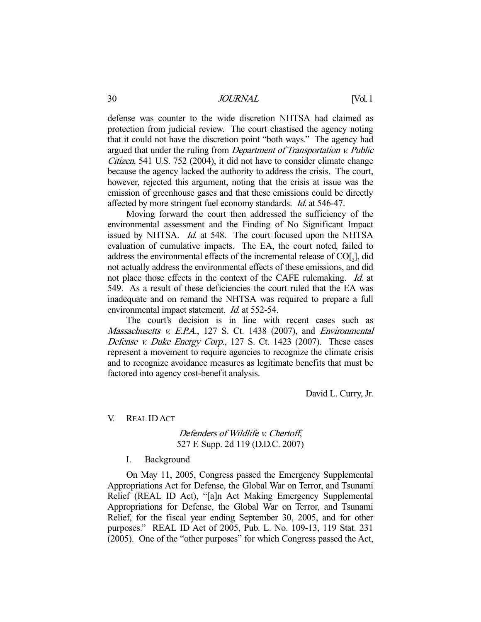defense was counter to the wide discretion NHTSA had claimed as protection from judicial review. The court chastised the agency noting that it could not have the discretion point "both ways." The agency had argued that under the ruling from Department of Transportation v. Public Citizen, 541 U.S. 752 (2004), it did not have to consider climate change because the agency lacked the authority to address the crisis. The court, however, rejected this argument, noting that the crisis at issue was the emission of greenhouse gases and that these emissions could be directly affected by more stringent fuel economy standards. Id. at 546-47.

 Moving forward the court then addressed the sufficiency of the environmental assessment and the Finding of No Significant Impact issued by NHTSA. *Id.* at 548. The court focused upon the NHTSA evaluation of cumulative impacts. The EA, the court noted, failed to address the environmental effects of the incremental release of  $CO[<sub>2</sub>]$ , did not actually address the environmental effects of these emissions, and did not place those effects in the context of the CAFE rulemaking. *Id.* at 549. As a result of these deficiencies the court ruled that the EA was inadequate and on remand the NHTSA was required to prepare a full environmental impact statement. *Id.* at 552-54.

 The court's decision is in line with recent cases such as Massachusetts v. E.P.A., 127 S. Ct. 1438 (2007), and Environmental Defense v. Duke Energy Corp., 127 S. Ct. 1423 (2007). These cases represent a movement to require agencies to recognize the climate crisis and to recognize avoidance measures as legitimate benefits that must be factored into agency cost-benefit analysis.

David L. Curry, Jr.

#### V. REAL IDACT

### Defenders of Wildlife v. Chertoff, 527 F. Supp. 2d 119 (D.D.C. 2007)

#### I. Background

 On May 11, 2005, Congress passed the Emergency Supplemental Appropriations Act for Defense, the Global War on Terror, and Tsunami Relief (REAL ID Act), "[a]n Act Making Emergency Supplemental Appropriations for Defense, the Global War on Terror, and Tsunami Relief, for the fiscal year ending September 30, 2005, and for other purposes." REAL ID Act of 2005, Pub. L. No. 109-13, 119 Stat. 231 (2005). One of the "other purposes" for which Congress passed the Act,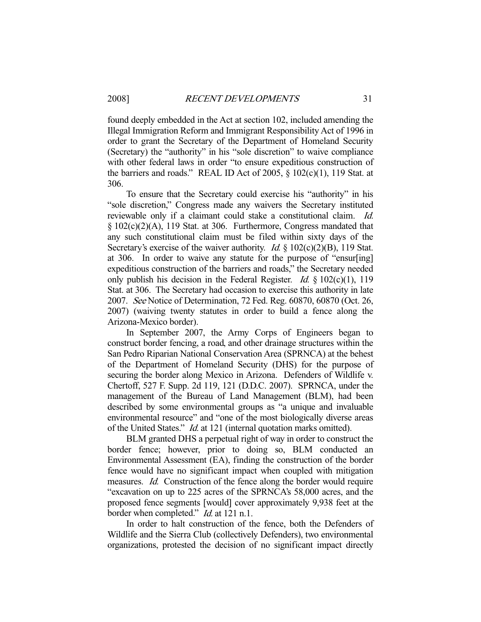found deeply embedded in the Act at section 102, included amending the Illegal Immigration Reform and Immigrant Responsibility Act of 1996 in order to grant the Secretary of the Department of Homeland Security (Secretary) the "authority" in his "sole discretion" to waive compliance with other federal laws in order "to ensure expeditious construction of the barriers and roads." REAL ID Act of 2005,  $\S$  102(c)(1), 119 Stat. at 306.

 To ensure that the Secretary could exercise his "authority" in his "sole discretion," Congress made any waivers the Secretary instituted reviewable only if a claimant could stake a constitutional claim. Id. § 102(c)(2)(A), 119 Stat. at 306. Furthermore, Congress mandated that any such constitutional claim must be filed within sixty days of the Secretary's exercise of the waiver authority. *Id.* § 102(c)(2)(B), 119 Stat. at 306. In order to waive any statute for the purpose of "ensur[ing] expeditious construction of the barriers and roads," the Secretary needed only publish his decision in the Federal Register. *Id.*  $\S 102(c)(1)$ , 119 Stat. at 306. The Secretary had occasion to exercise this authority in late 2007. See Notice of Determination, 72 Fed. Reg. 60870, 60870 (Oct. 26, 2007) (waiving twenty statutes in order to build a fence along the Arizona-Mexico border).

 In September 2007, the Army Corps of Engineers began to construct border fencing, a road, and other drainage structures within the San Pedro Riparian National Conservation Area (SPRNCA) at the behest of the Department of Homeland Security (DHS) for the purpose of securing the border along Mexico in Arizona. Defenders of Wildlife v. Chertoff, 527 F. Supp. 2d 119, 121 (D.D.C. 2007). SPRNCA, under the management of the Bureau of Land Management (BLM), had been described by some environmental groups as "a unique and invaluable environmental resource" and "one of the most biologically diverse areas of the United States." Id. at 121 (internal quotation marks omitted).

 BLM granted DHS a perpetual right of way in order to construct the border fence; however, prior to doing so, BLM conducted an Environmental Assessment (EA), finding the construction of the border fence would have no significant impact when coupled with mitigation measures. Id. Construction of the fence along the border would require "excavation on up to 225 acres of the SPRNCA's 58,000 acres, and the proposed fence segments [would] cover approximately 9,938 feet at the border when completed." *Id.* at 121 n.1.

 In order to halt construction of the fence, both the Defenders of Wildlife and the Sierra Club (collectively Defenders), two environmental organizations, protested the decision of no significant impact directly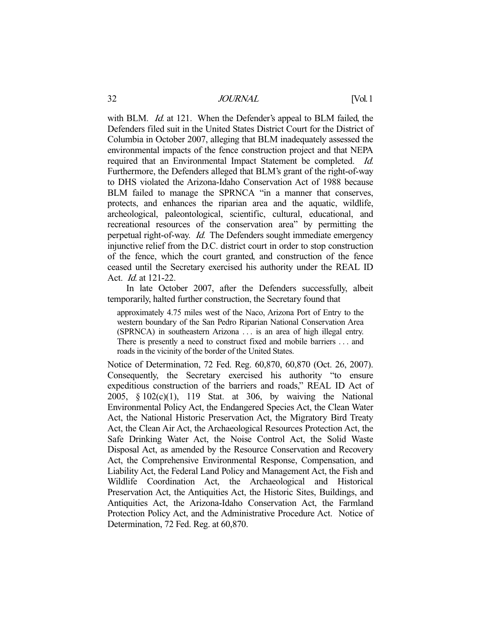with BLM. *Id.* at 121. When the Defender's appeal to BLM failed, the Defenders filed suit in the United States District Court for the District of Columbia in October 2007, alleging that BLM inadequately assessed the environmental impacts of the fence construction project and that NEPA required that an Environmental Impact Statement be completed. Id. Furthermore, the Defenders alleged that BLM's grant of the right-of-way to DHS violated the Arizona-Idaho Conservation Act of 1988 because BLM failed to manage the SPRNCA "in a manner that conserves, protects, and enhances the riparian area and the aquatic, wildlife, archeological, paleontological, scientific, cultural, educational, and recreational resources of the conservation area" by permitting the perpetual right-of-way. *Id.* The Defenders sought immediate emergency injunctive relief from the D.C. district court in order to stop construction of the fence, which the court granted, and construction of the fence ceased until the Secretary exercised his authority under the REAL ID Act. Id. at 121-22.

 In late October 2007, after the Defenders successfully, albeit temporarily, halted further construction, the Secretary found that

approximately 4.75 miles west of the Naco, Arizona Port of Entry to the western boundary of the San Pedro Riparian National Conservation Area (SPRNCA) in southeastern Arizona . . . is an area of high illegal entry. There is presently a need to construct fixed and mobile barriers . . . and roads in the vicinity of the border of the United States.

Notice of Determination, 72 Fed. Reg. 60,870, 60,870 (Oct. 26, 2007). Consequently, the Secretary exercised his authority "to ensure expeditious construction of the barriers and roads," REAL ID Act of 2005, § 102(c)(1), 119 Stat. at 306, by waiving the National Environmental Policy Act, the Endangered Species Act, the Clean Water Act, the National Historic Preservation Act, the Migratory Bird Treaty Act, the Clean Air Act, the Archaeological Resources Protection Act, the Safe Drinking Water Act, the Noise Control Act, the Solid Waste Disposal Act, as amended by the Resource Conservation and Recovery Act, the Comprehensive Environmental Response, Compensation, and Liability Act, the Federal Land Policy and Management Act, the Fish and Wildlife Coordination Act, the Archaeological and Historical Preservation Act, the Antiquities Act, the Historic Sites, Buildings, and Antiquities Act, the Arizona-Idaho Conservation Act, the Farmland Protection Policy Act, and the Administrative Procedure Act. Notice of Determination, 72 Fed. Reg. at 60,870.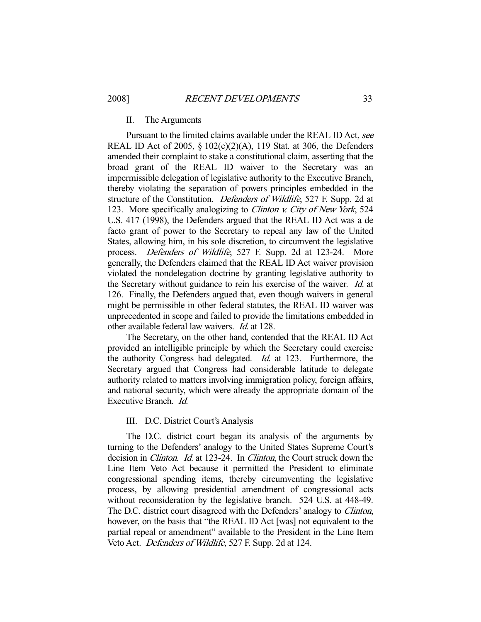#### II. The Arguments

Pursuant to the limited claims available under the REAL ID Act, see REAL ID Act of 2005,  $\S$  102(c)(2)(A), 119 Stat. at 306, the Defenders amended their complaint to stake a constitutional claim, asserting that the broad grant of the REAL ID waiver to the Secretary was an impermissible delegation of legislative authority to the Executive Branch, thereby violating the separation of powers principles embedded in the structure of the Constitution. Defenders of Wildlife, 527 F. Supp. 2d at 123. More specifically analogizing to Clinton v. City of New York, 524 U.S. 417 (1998), the Defenders argued that the REAL ID Act was a de facto grant of power to the Secretary to repeal any law of the United States, allowing him, in his sole discretion, to circumvent the legislative process. Defenders of Wildlife, 527 F. Supp. 2d at 123-24. More generally, the Defenders claimed that the REAL ID Act waiver provision violated the nondelegation doctrine by granting legislative authority to the Secretary without guidance to rein his exercise of the waiver. Id. at 126. Finally, the Defenders argued that, even though waivers in general might be permissible in other federal statutes, the REAL ID waiver was unprecedented in scope and failed to provide the limitations embedded in other available federal law waivers. Id. at 128.

 The Secretary, on the other hand, contended that the REAL ID Act provided an intelligible principle by which the Secretary could exercise the authority Congress had delegated. Id. at 123. Furthermore, the Secretary argued that Congress had considerable latitude to delegate authority related to matters involving immigration policy, foreign affairs, and national security, which were already the appropriate domain of the Executive Branch. Id.

#### III. D.C. District Court's Analysis

 The D.C. district court began its analysis of the arguments by turning to the Defenders' analogy to the United States Supreme Court's decision in *Clinton. Id.* at 123-24. In *Clinton*, the Court struck down the Line Item Veto Act because it permitted the President to eliminate congressional spending items, thereby circumventing the legislative process, by allowing presidential amendment of congressional acts without reconsideration by the legislative branch. 524 U.S. at 448-49. The D.C. district court disagreed with the Defenders' analogy to Clinton, however, on the basis that "the REAL ID Act [was] not equivalent to the partial repeal or amendment" available to the President in the Line Item Veto Act. Defenders of Wildlife, 527 F. Supp. 2d at 124.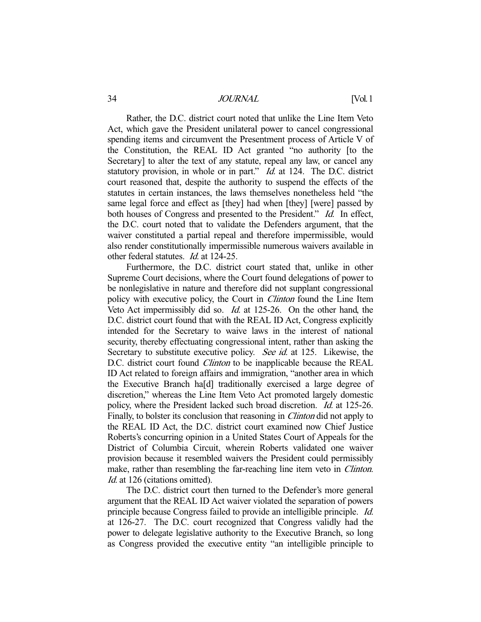Rather, the D.C. district court noted that unlike the Line Item Veto Act, which gave the President unilateral power to cancel congressional spending items and circumvent the Presentment process of Article V of the Constitution, the REAL ID Act granted "no authority [to the Secretary] to alter the text of any statute, repeal any law, or cancel any statutory provision, in whole or in part." *Id.* at 124. The D.C. district court reasoned that, despite the authority to suspend the effects of the statutes in certain instances, the laws themselves nonetheless held "the same legal force and effect as [they] had when [they] [were] passed by both houses of Congress and presented to the President." Id. In effect, the D.C. court noted that to validate the Defenders argument, that the waiver constituted a partial repeal and therefore impermissible, would also render constitutionally impermissible numerous waivers available in other federal statutes. Id. at 124-25.

 Furthermore, the D.C. district court stated that, unlike in other Supreme Court decisions, where the Court found delegations of power to be nonlegislative in nature and therefore did not supplant congressional policy with executive policy, the Court in Clinton found the Line Item Veto Act impermissibly did so. Id. at 125-26. On the other hand, the D.C. district court found that with the REAL ID Act, Congress explicitly intended for the Secretary to waive laws in the interest of national security, thereby effectuating congressional intent, rather than asking the Secretary to substitute executive policy. See id. at 125. Likewise, the D.C. district court found *Clinton* to be inapplicable because the REAL ID Act related to foreign affairs and immigration, "another area in which the Executive Branch ha[d] traditionally exercised a large degree of discretion," whereas the Line Item Veto Act promoted largely domestic policy, where the President lacked such broad discretion. Id. at 125-26. Finally, to bolster its conclusion that reasoning in *Clinton* did not apply to the REAL ID Act, the D.C. district court examined now Chief Justice Roberts's concurring opinion in a United States Court of Appeals for the District of Columbia Circuit, wherein Roberts validated one waiver provision because it resembled waivers the President could permissibly make, rather than resembling the far-reaching line item veto in *Clinton*. Id. at 126 (citations omitted).

 The D.C. district court then turned to the Defender's more general argument that the REAL ID Act waiver violated the separation of powers principle because Congress failed to provide an intelligible principle. Id. at 126-27. The D.C. court recognized that Congress validly had the power to delegate legislative authority to the Executive Branch, so long as Congress provided the executive entity "an intelligible principle to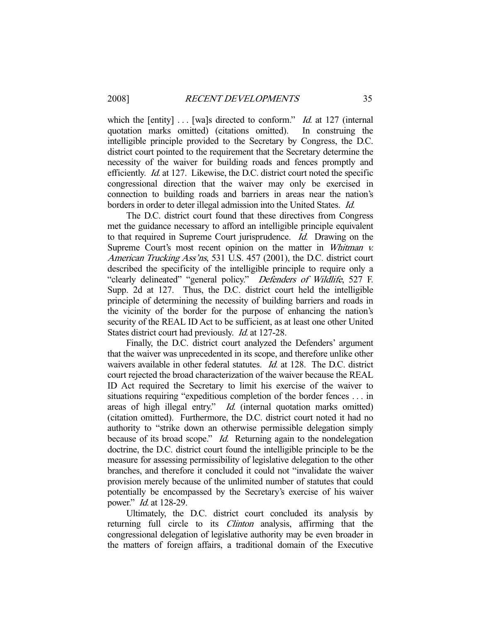which the [entity]  $\ldots$  [wa]s directed to conform." *Id.* at 127 (internal quotation marks omitted) (citations omitted). In construing the intelligible principle provided to the Secretary by Congress, the D.C. district court pointed to the requirement that the Secretary determine the necessity of the waiver for building roads and fences promptly and efficiently. Id. at 127. Likewise, the D.C. district court noted the specific congressional direction that the waiver may only be exercised in connection to building roads and barriers in areas near the nation's borders in order to deter illegal admission into the United States. Id.

 The D.C. district court found that these directives from Congress met the guidance necessary to afford an intelligible principle equivalent to that required in Supreme Court jurisprudence. Id. Drawing on the Supreme Court's most recent opinion on the matter in Whitman v. American Trucking Ass'ns, 531 U.S. 457 (2001), the D.C. district court described the specificity of the intelligible principle to require only a "clearly delineated" "general policy." Defenders of Wildlife, 527 F. Supp. 2d at 127. Thus, the D.C. district court held the intelligible principle of determining the necessity of building barriers and roads in the vicinity of the border for the purpose of enhancing the nation's security of the REAL ID Act to be sufficient, as at least one other United States district court had previously. Id. at 127-28.

 Finally, the D.C. district court analyzed the Defenders' argument that the waiver was unprecedented in its scope, and therefore unlike other waivers available in other federal statutes. *Id.* at 128. The D.C. district court rejected the broad characterization of the waiver because the REAL ID Act required the Secretary to limit his exercise of the waiver to situations requiring "expeditious completion of the border fences . . . in areas of high illegal entry." Id. (internal quotation marks omitted) (citation omitted). Furthermore, the D.C. district court noted it had no authority to "strike down an otherwise permissible delegation simply because of its broad scope." Id. Returning again to the nondelegation doctrine, the D.C. district court found the intelligible principle to be the measure for assessing permissibility of legislative delegation to the other branches, and therefore it concluded it could not "invalidate the waiver provision merely because of the unlimited number of statutes that could potentially be encompassed by the Secretary's exercise of his waiver power." Id. at 128-29.

 Ultimately, the D.C. district court concluded its analysis by returning full circle to its *Clinton* analysis, affirming that the congressional delegation of legislative authority may be even broader in the matters of foreign affairs, a traditional domain of the Executive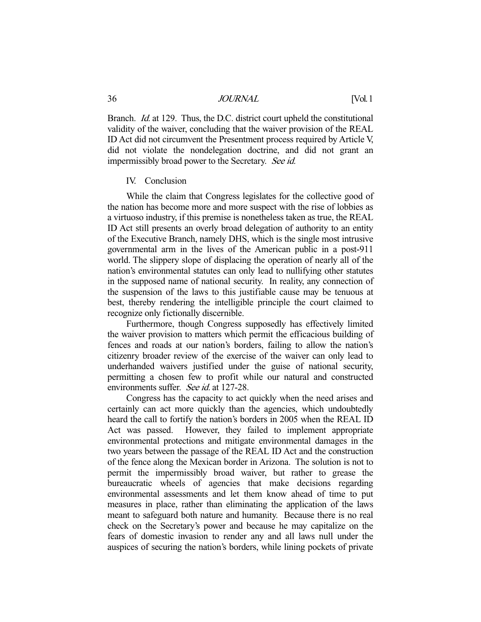Branch. *Id.* at 129. Thus, the D.C. district court upheld the constitutional validity of the waiver, concluding that the waiver provision of the REAL ID Act did not circumvent the Presentment process required by Article V, did not violate the nondelegation doctrine, and did not grant an impermissibly broad power to the Secretary. See id.

#### IV. Conclusion

 While the claim that Congress legislates for the collective good of the nation has become more and more suspect with the rise of lobbies as a virtuoso industry, if this premise is nonetheless taken as true, the REAL ID Act still presents an overly broad delegation of authority to an entity of the Executive Branch, namely DHS, which is the single most intrusive governmental arm in the lives of the American public in a post-911 world. The slippery slope of displacing the operation of nearly all of the nation's environmental statutes can only lead to nullifying other statutes in the supposed name of national security. In reality, any connection of the suspension of the laws to this justifiable cause may be tenuous at best, thereby rendering the intelligible principle the court claimed to recognize only fictionally discernible.

 Furthermore, though Congress supposedly has effectively limited the waiver provision to matters which permit the efficacious building of fences and roads at our nation's borders, failing to allow the nation's citizenry broader review of the exercise of the waiver can only lead to underhanded waivers justified under the guise of national security, permitting a chosen few to profit while our natural and constructed environments suffer. See id. at 127-28.

 Congress has the capacity to act quickly when the need arises and certainly can act more quickly than the agencies, which undoubtedly heard the call to fortify the nation's borders in 2005 when the REAL ID Act was passed. However, they failed to implement appropriate environmental protections and mitigate environmental damages in the two years between the passage of the REAL ID Act and the construction of the fence along the Mexican border in Arizona. The solution is not to permit the impermissibly broad waiver, but rather to grease the bureaucratic wheels of agencies that make decisions regarding environmental assessments and let them know ahead of time to put measures in place, rather than eliminating the application of the laws meant to safeguard both nature and humanity. Because there is no real check on the Secretary's power and because he may capitalize on the fears of domestic invasion to render any and all laws null under the auspices of securing the nation's borders, while lining pockets of private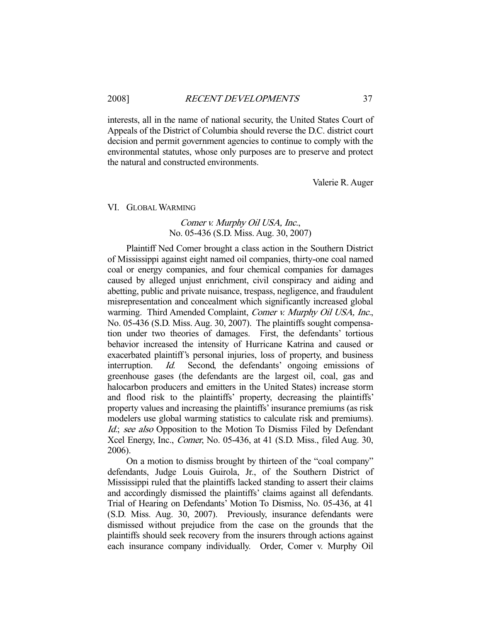interests, all in the name of national security, the United States Court of Appeals of the District of Columbia should reverse the D.C. district court decision and permit government agencies to continue to comply with the environmental statutes, whose only purposes are to preserve and protect the natural and constructed environments.

Valerie R. Auger

#### VI. GLOBAL WARMING

# Comer v. Murphy Oil USA, Inc., No. 05-436 (S.D. Miss. Aug. 30, 2007)

 Plaintiff Ned Comer brought a class action in the Southern District of Mississippi against eight named oil companies, thirty-one coal named coal or energy companies, and four chemical companies for damages caused by alleged unjust enrichment, civil conspiracy and aiding and abetting, public and private nuisance, trespass, negligence, and fraudulent misrepresentation and concealment which significantly increased global warming. Third Amended Complaint, Comer v. Murphy Oil USA, Inc., No. 05-436 (S.D. Miss. Aug. 30, 2007). The plaintiffs sought compensation under two theories of damages. First, the defendants' tortious behavior increased the intensity of Hurricane Katrina and caused or exacerbated plaintiff's personal injuries, loss of property, and business interruption. Id. Second, the defendants' ongoing emissions of greenhouse gases (the defendants are the largest oil, coal, gas and halocarbon producers and emitters in the United States) increase storm and flood risk to the plaintiffs' property, decreasing the plaintiffs' property values and increasing the plaintiffs' insurance premiums (as risk modelers use global warming statistics to calculate risk and premiums). Id.; see also Opposition to the Motion To Dismiss Filed by Defendant Xcel Energy, Inc., Comer, No. 05-436, at 41 (S.D. Miss., filed Aug. 30, 2006).

 On a motion to dismiss brought by thirteen of the "coal company" defendants, Judge Louis Guirola, Jr., of the Southern District of Mississippi ruled that the plaintiffs lacked standing to assert their claims and accordingly dismissed the plaintiffs' claims against all defendants. Trial of Hearing on Defendants' Motion To Dismiss, No. 05-436, at 41 (S.D. Miss. Aug. 30, 2007). Previously, insurance defendants were dismissed without prejudice from the case on the grounds that the plaintiffs should seek recovery from the insurers through actions against each insurance company individually. Order, Comer v. Murphy Oil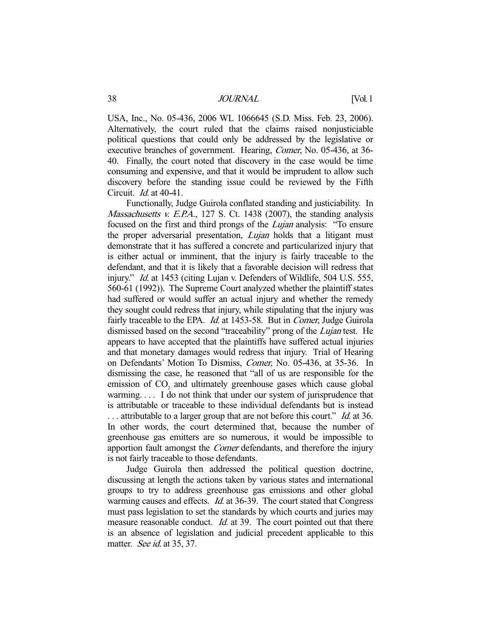USA, Inc., No. 05-436, 2006 WL 1066645 (S.D. Miss. Feb. 23, 2006). Alternatively, the court ruled that the claims raised nonjusticiable political questions that could only be addressed by the legislative or executive branches of government. Hearing, Comer, No. 05-436, at 36- 40. Finally, the court noted that discovery in the case would be time consuming and expensive, and that it would be imprudent to allow such discovery before the standing issue could be reviewed by the Fifth Circuit. Id. at 40-41.

 Functionally, Judge Guirola conflated standing and justiciability. In Massachusetts v. E.P.A., 127 S. Ct. 1438 (2007), the standing analysis focused on the first and third prongs of the Lujan analysis: "To ensure the proper adversarial presentation, *Lujan* holds that a litigant must demonstrate that it has suffered a concrete and particularized injury that is either actual or imminent, that the injury is fairly traceable to the defendant, and that it is likely that a favorable decision will redress that injury." *Id.* at 1453 (citing Lujan v. Defenders of Wildlife, 504 U.S. 555, 560-61 (1992)). The Supreme Court analyzed whether the plaintiff states had suffered or would suffer an actual injury and whether the remedy they sought could redress that injury, while stipulating that the injury was fairly traceable to the EPA. *Id.* at 1453-58. But in *Comer*, Judge Guirola dismissed based on the second "traceability" prong of the *Lujan* test. He appears to have accepted that the plaintiffs have suffered actual injuries and that monetary damages would redress that injury. Trial of Hearing on Defendants' Motion To Dismiss, Comer, No. 05-436, at 35-36. In dismissing the case, he reasoned that "all of us are responsible for the emission of  $CO<sub>2</sub>$  and ultimately greenhouse gases which cause global warming. . . . I do not think that under our system of jurisprudence that is attributable or traceable to these individual defendants but is instead ... attributable to a larger group that are not before this court." *Id.* at 36. In other words, the court determined that, because the number of greenhouse gas emitters are so numerous, it would be impossible to apportion fault amongst the Comer defendants, and therefore the injury is not fairly traceable to those defendants.

 Judge Guirola then addressed the political question doctrine, discussing at length the actions taken by various states and international groups to try to address greenhouse gas emissions and other global warming causes and effects. *Id.* at 36-39. The court stated that Congress must pass legislation to set the standards by which courts and juries may measure reasonable conduct. *Id.* at 39. The court pointed out that there is an absence of legislation and judicial precedent applicable to this matter. See id. at 35, 37.